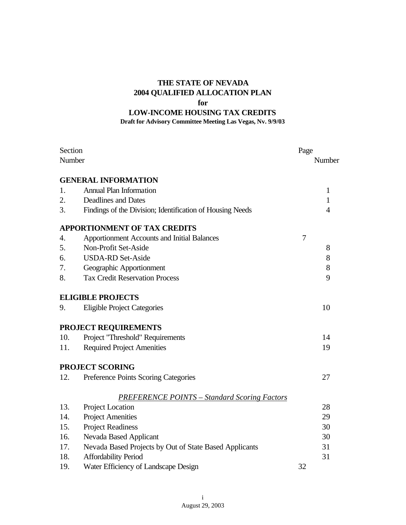## **THE STATE OF NEVADA 2004 QUALIFIED ALLOCATION PLAN for**

# **LOW-INCOME HOUSING TAX CREDITS**

#### **Draft for Advisory Committee Meeting Las Vegas, Nv. 9/9/03**

| Section |                                                           |    | Page           |  |
|---------|-----------------------------------------------------------|----|----------------|--|
| Number  |                                                           |    | Number         |  |
|         | <b>GENERAL INFORMATION</b>                                |    |                |  |
| 1.      | <b>Annual Plan Information</b>                            |    | $\mathbf{1}$   |  |
| 2.      | <b>Deadlines and Dates</b>                                |    | $\mathbf{1}$   |  |
| 3.      | Findings of the Division; Identification of Housing Needs |    | $\overline{4}$ |  |
|         | <b>APPORTIONMENT OF TAX CREDITS</b>                       |    |                |  |
| 4.      | <b>Apportionment Accounts and Initial Balances</b>        | 7  |                |  |
| 5.      | Non-Profit Set-Aside                                      |    | 8              |  |
| 6.      | <b>USDA-RD Set-Aside</b>                                  |    | $8\,$          |  |
| 7.      | Geographic Apportionment                                  |    | 8              |  |
| 8.      | <b>Tax Credit Reservation Process</b>                     |    | 9              |  |
|         | <b>ELIGIBLE PROJECTS</b>                                  |    |                |  |
| 9.      | <b>Eligible Project Categories</b>                        |    | 10             |  |
|         | PROJECT REQUIREMENTS                                      |    |                |  |
| 10.     | Project "Threshold" Requirements                          |    | 14             |  |
| 11.     | <b>Required Project Amenities</b>                         |    | 19             |  |
|         | <b>PROJECT SCORING</b>                                    |    |                |  |
| 12.     | Preference Points Scoring Categories                      |    | 27             |  |
|         | <b>PREFERENCE POINTS - Standard Scoring Factors</b>       |    |                |  |
| 13.     | Project Location                                          |    | 28             |  |
| 14.     | <b>Project Amenities</b>                                  |    | 29             |  |
| 15.     | <b>Project Readiness</b>                                  |    | 30             |  |
| 16.     | Nevada Based Applicant                                    |    | 30             |  |
| 17.     | Nevada Based Projects by Out of State Based Applicants    |    | 31             |  |
| 18.     | Affordability Period                                      |    | 31             |  |
| 19.     | Water Efficiency of Landscape Design                      | 32 |                |  |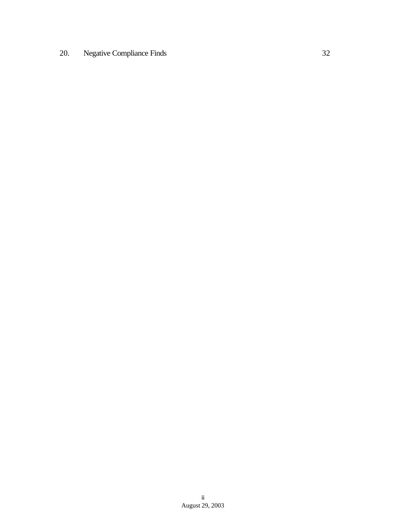# 20. Negative Compliance Finds 32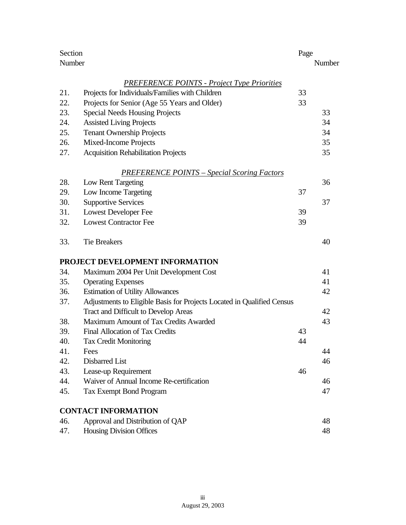| Section |                                                                        | Page |        |
|---------|------------------------------------------------------------------------|------|--------|
|         | Number                                                                 |      | Number |
|         | <b>PREFERENCE POINTS - Project Type Priorities</b>                     |      |        |
| 21.     | Projects for Individuals/Families with Children                        | 33   |        |
| 22.     | Projects for Senior (Age 55 Years and Older)                           | 33   |        |
| 23.     | <b>Special Needs Housing Projects</b>                                  |      | 33     |
| 24.     | <b>Assisted Living Projects</b>                                        |      | 34     |
| 25.     | <b>Tenant Ownership Projects</b>                                       |      | 34     |
| 26.     | Mixed-Income Projects                                                  |      | 35     |
| 27.     | <b>Acquisition Rehabilitation Projects</b>                             |      | 35     |
|         | <b>PREFERENCE POINTS – Special Scoring Factors</b>                     |      |        |
| 28.     | Low Rent Targeting                                                     |      | 36     |
| 29.     | Low Income Targeting                                                   | 37   |        |
| 30.     | <b>Supportive Services</b>                                             |      | 37     |
| 31.     | <b>Lowest Developer Fee</b>                                            | 39   |        |
| 32.     | <b>Lowest Contractor Fee</b>                                           | 39   |        |
| 33.     | <b>Tie Breakers</b>                                                    |      | 40     |
|         | PROJECT DEVELOPMENT INFORMATION                                        |      |        |
| 34.     | Maximum 2004 Per Unit Development Cost                                 |      | 41     |
| 35.     | <b>Operating Expenses</b>                                              |      | 41     |
| 36.     | <b>Estimation of Utility Allowances</b>                                |      | 42     |
| 37.     | Adjustments to Eligible Basis for Projects Located in Qualified Census |      |        |
|         | Tract and Difficult to Develop Areas                                   |      | 42     |
| 38.     | Maximum Amount of Tax Credits Awarded                                  |      | 43     |
| 39.     | <b>Final Allocation of Tax Credits</b>                                 | 43   |        |
| 40.     | Tax Credit Monitoring                                                  | 44   |        |
| 41.     | Fees                                                                   |      | 44     |
| 42.     | <b>Disbarred List</b>                                                  |      | 46     |
| 43.     | Lease-up Requirement                                                   | 46   |        |
| 44.     | Waiver of Annual Income Re-certification                               |      | 46     |
| 45.     | <b>Tax Exempt Bond Program</b>                                         |      | 47     |
|         | <b>CONTACT INFORMATION</b>                                             |      |        |
| 46.     | Approval and Distribution of QAP                                       |      | 48     |
| 47.     | Housing Division Offices                                               |      | 48     |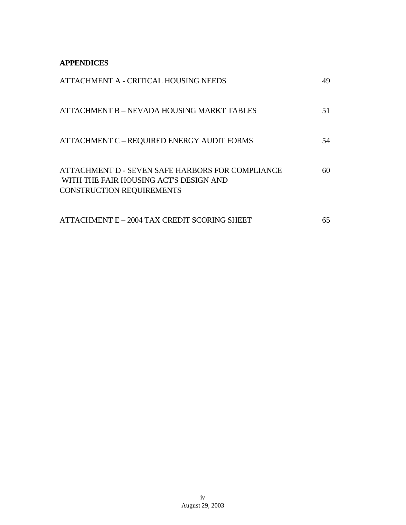**APPENDICES**

| ATTACHMENT A - CRITICAL HOUSING NEEDS                                                                                          | 49 |
|--------------------------------------------------------------------------------------------------------------------------------|----|
| ATTACHMENT B - NEVADA HOUSING MARKT TABLES                                                                                     | 51 |
| ATTACHMENT C - REQUIRED ENERGY AUDIT FORMS                                                                                     | 54 |
| ATTACHMENT D - SEVEN SAFE HARBORS FOR COMPLIANCE<br>WITH THE FAIR HOUSING ACT'S DESIGN AND<br><b>CONSTRUCTION REQUIREMENTS</b> | 60 |
| ATTACHMENT E - 2004 TAX CREDIT SCORING SHEET                                                                                   | 65 |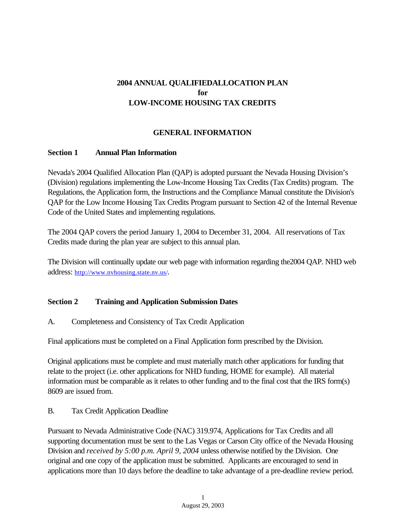# **2004 ANNUAL QUALIFIEDALLOCATION PLAN for LOW-INCOME HOUSING TAX CREDITS**

## **GENERAL INFORMATION**

#### **Section 1 Annual Plan Information**

Nevada's 2004 Qualified Allocation Plan (QAP) is adopted pursuant the Nevada Housing Division's (Division) regulations implementing the Low-Income Housing Tax Credits (Tax Credits) program. The Regulations, the Application form, the Instructions and the Compliance Manual constitute the Division's QAP for the Low Income Housing Tax Credits Program pursuant to Section 42 of the Internal Revenue Code of the United States and implementing regulations.

The 2004 QAP covers the period January 1, 2004 to December 31, 2004. All reservations of Tax Credits made during the plan year are subject to this annual plan.

The Division will continually update our web page with information regarding the2004 QAP. NHD web address: http://www.nvhousing.state.nv.us/.

#### **Section 2 Training and Application Submission Dates**

A. Completeness and Consistency of Tax Credit Application

Final applications must be completed on a Final Application form prescribed by the Division.

Original applications must be complete and must materially match other applications for funding that relate to the project (i.e. other applications for NHD funding, HOME for example). All material information must be comparable as it relates to other funding and to the final cost that the IRS form(s) 8609 are issued from.

#### B. Tax Credit Application Deadline

Pursuant to Nevada Administrative Code (NAC) 319.974, Applications for Tax Credits and all supporting documentation must be sent to the Las Vegas or Carson City office of the Nevada Housing Division and *received by 5:00 p.m. April 9, 2004* unless otherwise notified by the Division. One original and one copy of the application must be submitted. Applicants are encouraged to send in applications more than 10 days before the deadline to take advantage of a pre-deadline review period.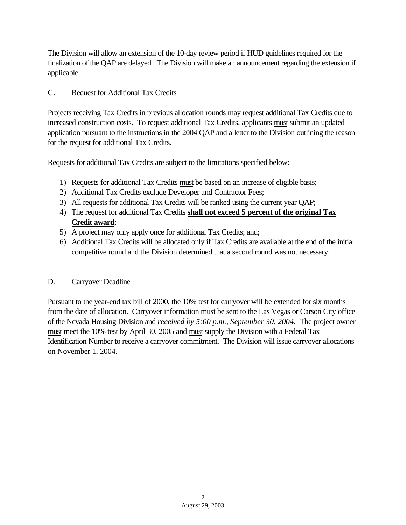The Division will allow an extension of the 10-day review period if HUD guidelines required for the finalization of the QAP are delayed. The Division will make an announcement regarding the extension if applicable.

## C. Request for Additional Tax Credits

Projects receiving Tax Credits in previous allocation rounds may request additional Tax Credits due to increased construction costs. To request additional Tax Credits, applicants must submit an updated application pursuant to the instructions in the 2004 QAP and a letter to the Division outlining the reason for the request for additional Tax Credits.

Requests for additional Tax Credits are subject to the limitations specified below:

- 1) Requests for additional Tax Credits must be based on an increase of eligible basis;
- 2) Additional Tax Credits exclude Developer and Contractor Fees;
- 3) All requests for additional Tax Credits will be ranked using the current year QAP;
- 4) The request for additional Tax Credits **shall not exceed 5 percent of the original Tax Credit award**;
- 5) A project may only apply once for additional Tax Credits; and;
- 6) Additional Tax Credits will be allocated only if Tax Credits are available at the end of the initial competitive round and the Division determined that a second round was not necessary.

## D. Carryover Deadline

Pursuant to the year-end tax bill of 2000, the 10% test for carryover will be extended for six months from the date of allocation. Carryover information must be sent to the Las Vegas or Carson City office of the Nevada Housing Division and *received by 5:00 p.m., September 30, 2004.* The project owner must meet the 10% test by April 30, 2005 and must supply the Division with a Federal Tax Identification Number to receive a carryover commitment. The Division will issue carryover allocations on November 1, 2004.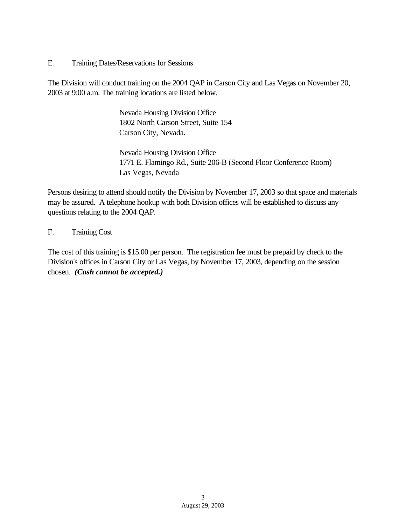E. Training Dates/Reservations for Sessions

The Division will conduct training on the 2004 QAP in Carson City and Las Vegas on November 20, 2003 at 9:00 a.m. The training locations are listed below.

> Nevada Housing Division Office 1802 North Carson Street, Suite 154 Carson City, Nevada.

Nevada Housing Division Office 1771 E. Flamingo Rd., Suite 206-B (Second Floor Conference Room) Las Vegas, Nevada

Persons desiring to attend should notify the Division by November 17, 2003 so that space and materials may be assured. A telephone hookup with both Division offices will be established to discuss any questions relating to the 2004 QAP.

F. Training Cost

The cost of this training is \$15.00 per person. The registration fee must be prepaid by check to the Division's offices in Carson City or Las Vegas, by November 17, 2003, depending on the session chosen. *(Cash cannot be accepted.)*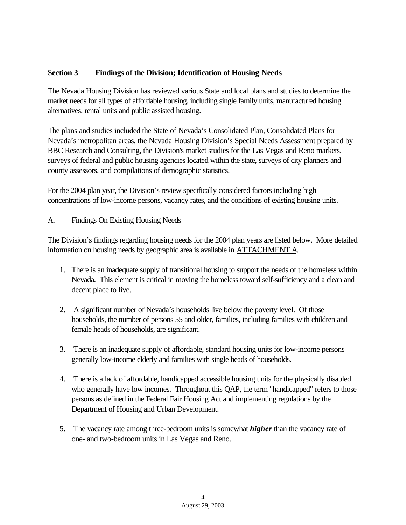## **Section 3 Findings of the Division; Identification of Housing Needs**

The Nevada Housing Division has reviewed various State and local plans and studies to determine the market needs for all types of affordable housing, including single family units, manufactured housing alternatives, rental units and public assisted housing.

The plans and studies included the State of Nevada's Consolidated Plan, Consolidated Plans for Nevada's metropolitan areas, the Nevada Housing Division's Special Needs Assessment prepared by BBC Research and Consulting, the Division's market studies for the Las Vegas and Reno markets, surveys of federal and public housing agencies located within the state, surveys of city planners and county assessors, and compilations of demographic statistics.

For the 2004 plan year, the Division's review specifically considered factors including high concentrations of low-income persons, vacancy rates, and the conditions of existing housing units.

A. Findings On Existing Housing Needs

The Division's findings regarding housing needs for the 2004 plan years are listed below. More detailed information on housing needs by geographic area is available in ATTACHMENT A.

- 1. There is an inadequate supply of transitional housing to support the needs of the homeless within Nevada. This element is critical in moving the homeless toward self-sufficiency and a clean and decent place to live.
- 2. A significant number of Nevada's households live below the poverty level. Of those households, the number of persons 55 and older, families, including families with children and female heads of households, are significant.
- 3. There is an inadequate supply of affordable, standard housing units for low-income persons generally low-income elderly and families with single heads of households.
- 4. There is a lack of affordable, handicapped accessible housing units for the physically disabled who generally have low incomes. Throughout this QAP, the term "handicapped" refers to those persons as defined in the Federal Fair Housing Act and implementing regulations by the Department of Housing and Urban Development.
- 5. The vacancy rate among three-bedroom units is somewhat *higher* than the vacancy rate of one- and two-bedroom units in Las Vegas and Reno.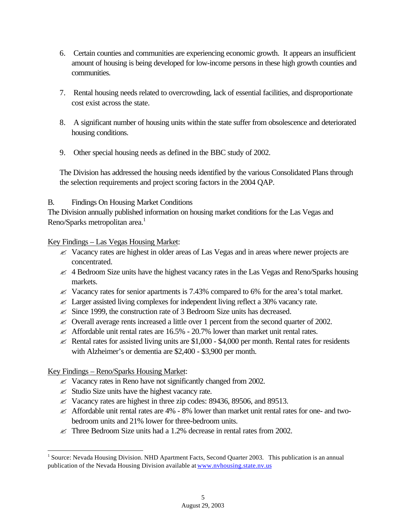- 6. Certain counties and communities are experiencing economic growth. It appears an insufficient amount of housing is being developed for low-income persons in these high growth counties and communities.
- 7. Rental housing needs related to overcrowding, lack of essential facilities, and disproportionate cost exist across the state.
- 8. A significant number of housing units within the state suffer from obsolescence and deteriorated housing conditions.
- 9. Other special housing needs as defined in the BBC study of 2002.

The Division has addressed the housing needs identified by the various Consolidated Plans through the selection requirements and project scoring factors in the 2004 QAP.

## B. Findings On Housing Market Conditions

The Division annually published information on housing market conditions for the Las Vegas and Reno/Sparks metropolitan area.<sup>1</sup>

Key Findings – Las Vegas Housing Market:

- $\ll$  Vacancy rates are highest in older areas of Las Vegas and in areas where newer projects are concentrated.
- $\leq$  4 Bedroom Size units have the highest vacancy rates in the Las Vegas and Reno/Sparks housing markets.
- $\ll$  Vacancy rates for senior apartments is 7.43% compared to 6% for the area's total market.
- $\approx$  Larger assisted living complexes for independent living reflect a 30% vacancy rate.
- $\approx$  Since 1999, the construction rate of 3 Bedroom Size units has decreased.
- $\approx$  Overall average rents increased a little over 1 percent from the second quarter of 2002.
- $\approx$  Affordable unit rental rates are 16.5% 20.7% lower than market unit rental rates.
- $\ll$  Rental rates for assisted living units are \$1,000 \$4,000 per month. Rental rates for residents with Alzheimer's or dementia are \$2,400 - \$3,900 per month.

Key Findings – Reno/Sparks Housing Market:

- $\ll$  Vacancy rates in Reno have not significantly changed from 2002.
- $\mathscr{L}$  Studio Size units have the highest vacancy rate.
- $\ll$  Vacancy rates are highest in three zip codes: 89436, 89506, and 89513.
- $\ll$  Affordable unit rental rates are 4% 8% lower than market unit rental rates for one- and twobedroom units and 21% lower for three-bedroom units.
- $\ll$  Three Bedroom Size units had a 1.2% decrease in rental rates from 2002.

<sup>&</sup>lt;sup>1</sup> Source: Nevada Housing Division. NHD Apartment Facts, Second Quarter 2003. This publication is an annual publication of the Nevada Housing Division available at www.nvhousing.state.nv.us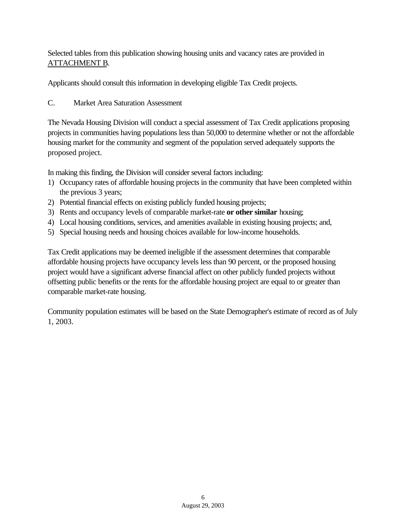Selected tables from this publication showing housing units and vacancy rates are provided in ATTACHMENT B.

Applicants should consult this information in developing eligible Tax Credit projects.

C. Market Area Saturation Assessment

The Nevada Housing Division will conduct a special assessment of Tax Credit applications proposing projects in communities having populations less than 50,000 to determine whether or not the affordable housing market for the community and segment of the population served adequately supports the proposed project.

In making this finding, the Division will consider several factors including:

- 1) Occupancy rates of affordable housing projects in the community that have been completed within the previous 3 years;
- 2) Potential financial effects on existing publicly funded housing projects;
- 3) Rents and occupancy levels of comparable market-rate **or other similar** housing;
- 4) Local housing conditions, services, and amenities available in existing housing projects; and,
- 5) Special housing needs and housing choices available for low-income households.

Tax Credit applications may be deemed ineligible if the assessment determines that comparable affordable housing projects have occupancy levels less than 90 percent, or the proposed housing project would have a significant adverse financial affect on other publicly funded projects without offsetting public benefits or the rents for the affordable housing project are equal to or greater than comparable market-rate housing.

Community population estimates will be based on the State Demographer's estimate of record as of July 1, 2003.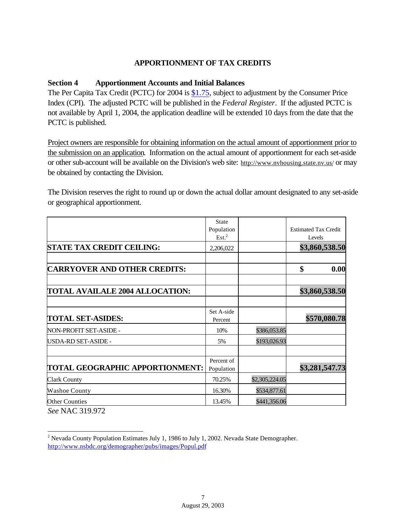## **APPORTIONMENT OF TAX CREDITS**

#### **Section 4 Apportionment Accounts and Initial Balances**

The Per Capita Tax Credit (PCTC) for 2004 is \$1.75, subject to adjustment by the Consumer Price Index (CPI). The adjusted PCTC will be published in the *Federal Register*. If the adjusted PCTC is not available by April 1, 2004, the application deadline will be extended 10 days from the date that the PCTC is published.

Project owners are responsible for obtaining information on the actual amount of apportionment prior to the submission on an application. Information on the actual amount of apportionment for each set-aside or other sub-account will be available on the Division's web site: http://www.nvhousing.state.nv.us/ or may be obtained by contacting the Division.

The Division reserves the right to round up or down the actual dollar amount designated to any set-aside or geographical apportionment.

|                                                | <b>State</b>             |                |                             |
|------------------------------------------------|--------------------------|----------------|-----------------------------|
|                                                | Population               |                | <b>Estimated Tax Credit</b> |
|                                                | Est. <sup>2</sup>        |                | Levels                      |
| <b>STATE TAX CREDIT CEILING:</b>               | 2,206,022                |                | \$3,860,538.50              |
| <b>CARRYOVER AND OTHER CREDITS:</b>            |                          |                | \$<br>0.00                  |
|                                                |                          |                |                             |
| <b>TOTAL AVAILALE 2004 ALLOCATION:</b>         |                          |                | \$3,860,538.50              |
| <b>TOTAL SET-ASIDES:</b>                       | Set A-side<br>Percent    |                | \$570,080.78                |
| NON-PROFIT SET-ASIDE -                         | 10%                      | \$386,053.85   |                             |
| USDA-RD SET-ASIDE -                            | 5%                       | \$193,026.93   |                             |
|                                                |                          |                |                             |
| <b>TOTAL GEOGRAPHIC APPORTIONMENT:</b>         | Percent of<br>Population |                | \$3,281,547.73              |
| <b>Clark County</b>                            | 70.25%                   | \$2,305,224.05 |                             |
| <b>Washoe County</b>                           | 16.30%                   | \$534,877.61   |                             |
| <b>Other Counties</b><br>$C = M I A C 210.072$ | 13.45%                   | \$441,356.06   |                             |

*See* NAC 319.972

 2 Nevada County Population Estimates July 1, 1986 to July 1, 2002. Nevada State Demographer. http://www.nsbdc.org/demographer/pubs/images/Popul.pdf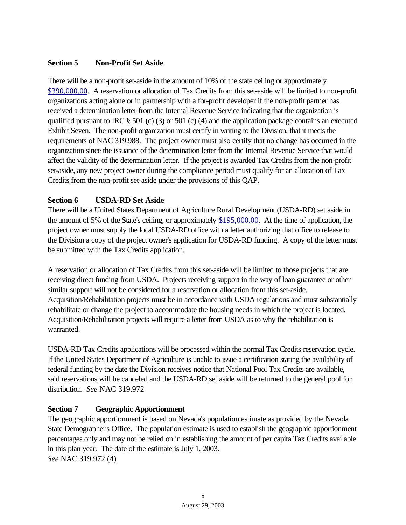## **Section 5 Non-Profit Set Aside**

There will be a non-profit set-aside in the amount of 10% of the state ceiling or approximately \$390,000.00. A reservation or allocation of Tax Credits from this set-aside will be limited to non-profit organizations acting alone or in partnership with a for-profit developer if the non-profit partner has received a determination letter from the Internal Revenue Service indicating that the organization is qualified pursuant to IRC  $\S 501$  (c) (3) or 501 (c) (4) and the application package contains an executed Exhibit Seven. The non-profit organization must certify in writing to the Division, that it meets the requirements of NAC 319.988. The project owner must also certify that no change has occurred in the organization since the issuance of the determination letter from the Internal Revenue Service that would affect the validity of the determination letter. If the project is awarded Tax Credits from the non-profit set-aside, any new project owner during the compliance period must qualify for an allocation of Tax Credits from the non-profit set-aside under the provisions of this QAP.

## **Section 6 USDA-RD Set Aside**

There will be a United States Department of Agriculture Rural Development (USDA-RD) set aside in the amount of 5% of the State's ceiling, or approximately \$195,000.00. At the time of application, the project owner must supply the local USDA-RD office with a letter authorizing that office to release to the Division a copy of the project owner's application for USDA-RD funding. A copy of the letter must be submitted with the Tax Credits application.

A reservation or allocation of Tax Credits from this set-aside will be limited to those projects that are receiving direct funding from USDA. Projects receiving support in the way of loan guarantee or other similar support will not be considered for a reservation or allocation from this set-aside. Acquisition/Rehabilitation projects must be in accordance with USDA regulations and must substantially rehabilitate or change the project to accommodate the housing needs in which the project is located. Acquisition/Rehabilitation projects will require a letter from USDA as to why the rehabilitation is warranted.

USDA-RD Tax Credits applications will be processed within the normal Tax Credits reservation cycle. If the United States Department of Agriculture is unable to issue a certification stating the availability of federal funding by the date the Division receives notice that National Pool Tax Credits are available, said reservations will be canceled and the USDA-RD set aside will be returned to the general pool for distribution. *See* NAC 319.972

## **Section 7 Geographic Apportionment**

The geographic apportionment is based on Nevada's population estimate as provided by the Nevada State Demographer's Office. The population estimate is used to establish the geographic apportionment percentages only and may not be relied on in establishing the amount of per capita Tax Credits available in this plan year. The date of the estimate is July 1, 2003. *See* NAC 319.972 (4)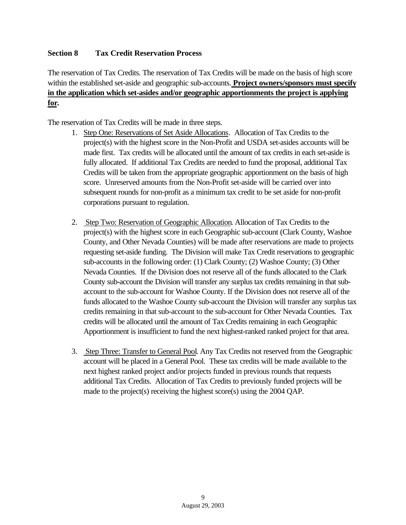## **Section 8 Tax Credit Reservation Process**

The reservation of Tax Credits. The reservation of Tax Credits will be made on the basis of high score within the established set-aside and geographic sub-accounts. **Project owners/sponsors must specify in the application which set-asides and/or geographic apportionments the project is applying for.**

The reservation of Tax Credits will be made in three steps.

- 1. Step One: Reservations of Set Aside Allocations. Allocation of Tax Credits to the project(s) with the highest score in the Non-Profit and USDA set-asides accounts will be made first. Tax credits will be allocated until the amount of tax credits in each set-aside is fully allocated. If additional Tax Credits are needed to fund the proposal, additional Tax Credits will be taken from the appropriate geographic apportionment on the basis of high score. Unreserved amounts from the Non-Profit set-aside will be carried over into subsequent rounds for non-profit as a minimum tax credit to be set aside for non-profit corporations pursuant to regulation.
- 2. Step Two: Reservation of Geographic Allocation. Allocation of Tax Credits to the project(s) with the highest score in each Geographic sub-account (Clark County, Washoe County, and Other Nevada Counties) will be made after reservations are made to projects requesting set-aside funding. The Division will make Tax Credit reservations to geographic sub-accounts in the following order: (1) Clark County; (2) Washoe County; (3) Other Nevada Counties. If the Division does not reserve all of the funds allocated to the Clark County sub-account the Division will transfer any surplus tax credits remaining in that subaccount to the sub-account for Washoe County. If the Division does not reserve all of the funds allocated to the Washoe County sub-account the Division will transfer any surplus tax credits remaining in that sub-account to the sub-account for Other Nevada Counties. Tax credits will be allocated until the amount of Tax Credits remaining in each Geographic Apportionment is insufficient to fund the next highest-ranked ranked project for that area.
- 3. Step Three: Transfer to General Pool. Any Tax Credits not reserved from the Geographic account will be placed in a General Pool. These tax credits will be made available to the next highest ranked project and/or projects funded in previous rounds that requests additional Tax Credits. Allocation of Tax Credits to previously funded projects will be made to the project(s) receiving the highest score(s) using the 2004 QAP.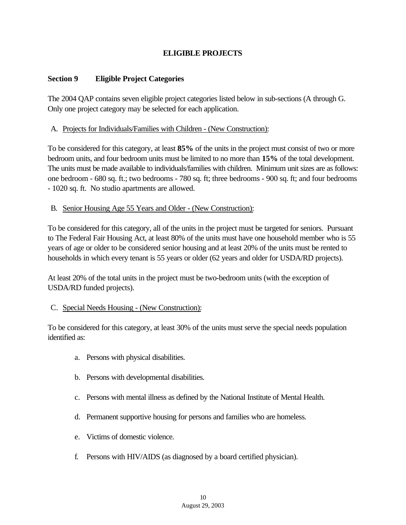# **ELIGIBLE PROJECTS**

## **Section 9 Eligible Project Categories**

The 2004 QAP contains seven eligible project categories listed below in sub-sections (A through G. Only one project category may be selected for each application.

#### A. Projects for Individuals/Families with Children - (New Construction):

To be considered for this category, at least **85%** of the units in the project must consist of two or more bedroom units, and four bedroom units must be limited to no more than **15%** of the total development. The units must be made available to individuals/families with children. Minimum unit sizes are as follows: one bedroom - 680 sq. ft.; two bedrooms - 780 sq. ft; three bedrooms - 900 sq. ft; and four bedrooms - 1020 sq. ft. No studio apartments are allowed.

## B. Senior Housing Age 55 Years and Older - (New Construction):

To be considered for this category, all of the units in the project must be targeted for seniors. Pursuant to The Federal Fair Housing Act, at least 80% of the units must have one household member who is 55 years of age or older to be considered senior housing and at least 20% of the units must be rented to households in which every tenant is 55 years or older (62 years and older for USDA/RD projects).

At least 20% of the total units in the project must be two-bedroom units (with the exception of USDA/RD funded projects).

## C. Special Needs Housing - (New Construction):

To be considered for this category, at least 30% of the units must serve the special needs population identified as:

- a. Persons with physical disabilities.
- b. Persons with developmental disabilities.
- c. Persons with mental illness as defined by the National Institute of Mental Health.
- d. Permanent supportive housing for persons and families who are homeless.
- e. Victims of domestic violence.
- f. Persons with HIV/AIDS (as diagnosed by a board certified physician).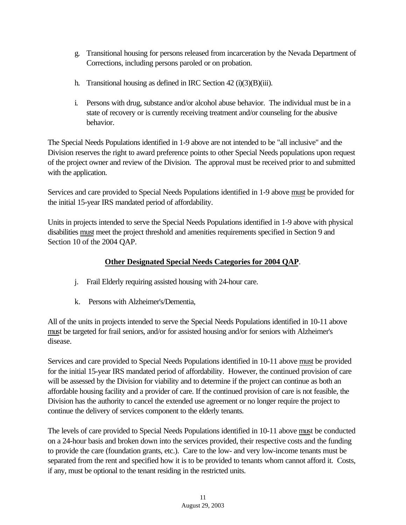- g. Transitional housing for persons released from incarceration by the Nevada Department of Corrections, including persons paroled or on probation.
- h. Transitional housing as defined in IRC Section  $42 \text{ (i)}(3)(B)\text{(iii)}$ .
- i. Persons with drug, substance and/or alcohol abuse behavior. The individual must be in a state of recovery or is currently receiving treatment and/or counseling for the abusive behavior.

The Special Needs Populations identified in 1-9 above are not intended to be "all inclusive" and the Division reserves the right to award preference points to other Special Needs populations upon request of the project owner and review of the Division. The approval must be received prior to and submitted with the application.

Services and care provided to Special Needs Populations identified in 1-9 above must be provided for the initial 15-year IRS mandated period of affordability.

Units in projects intended to serve the Special Needs Populations identified in 1-9 above with physical disabilities must meet the project threshold and amenities requirements specified in Section 9 and Section 10 of the 2004 QAP.

## **Other Designated Special Needs Categories for 2004 QAP**.

- j. Frail Elderly requiring assisted housing with 24-hour care.
- k. Persons with Alzheimer's/Dementia,

All of the units in projects intended to serve the Special Needs Populations identified in 10-11 above must be targeted for frail seniors, and/or for assisted housing and/or for seniors with Alzheimer's disease.

Services and care provided to Special Needs Populations identified in 10-11 above must be provided for the initial 15-year IRS mandated period of affordability. However, the continued provision of care will be assessed by the Division for viability and to determine if the project can continue as both an affordable housing facility and a provider of care. If the continued provision of care is not feasible, the Division has the authority to cancel the extended use agreement or no longer require the project to continue the delivery of services component to the elderly tenants.

The levels of care provided to Special Needs Populations identified in 10-11 above must be conducted on a 24-hour basis and broken down into the services provided, their respective costs and the funding to provide the care (foundation grants, etc.). Care to the low- and very low-income tenants must be separated from the rent and specified how it is to be provided to tenants whom cannot afford it. Costs, if any, must be optional to the tenant residing in the restricted units.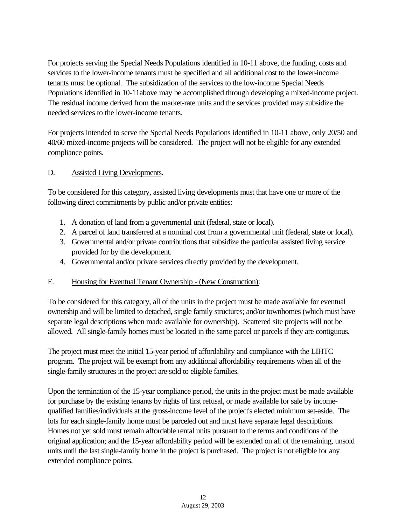For projects serving the Special Needs Populations identified in 10-11 above, the funding, costs and services to the lower-income tenants must be specified and all additional cost to the lower-income tenants must be optional. The subsidization of the services to the low-income Special Needs Populations identified in 10-11above may be accomplished through developing a mixed-income project. The residual income derived from the market-rate units and the services provided may subsidize the needed services to the lower-income tenants.

For projects intended to serve the Special Needs Populations identified in 10-11 above, only 20/50 and 40/60 mixed-income projects will be considered. The project will not be eligible for any extended compliance points.

## D. Assisted Living Developments.

To be considered for this category, assisted living developments must that have one or more of the following direct commitments by public and/or private entities:

- 1. A donation of land from a governmental unit (federal, state or local).
- 2. A parcel of land transferred at a nominal cost from a governmental unit (federal, state or local).
- 3. Governmental and/or private contributions that subsidize the particular assisted living service provided for by the development.
- 4. Governmental and/or private services directly provided by the development.

## E. Housing for Eventual Tenant Ownership - (New Construction):

To be considered for this category, all of the units in the project must be made available for eventual ownership and will be limited to detached, single family structures; and/or townhomes (which must have separate legal descriptions when made available for ownership). Scattered site projects will not be allowed. All single-family homes must be located in the same parcel or parcels if they are contiguous.

The project must meet the initial 15-year period of affordability and compliance with the LIHTC program. The project will be exempt from any additional affordability requirements when all of the single-family structures in the project are sold to eligible families.

Upon the termination of the 15-year compliance period, the units in the project must be made available for purchase by the existing tenants by rights of first refusal, or made available for sale by incomequalified families/individuals at the gross-income level of the project's elected minimum set-aside. The lots for each single-family home must be parceled out and must have separate legal descriptions. Homes not yet sold must remain affordable rental units pursuant to the terms and conditions of the original application; and the 15-year affordability period will be extended on all of the remaining, unsold units until the last single-family home in the project is purchased. The project is not eligible for any extended compliance points.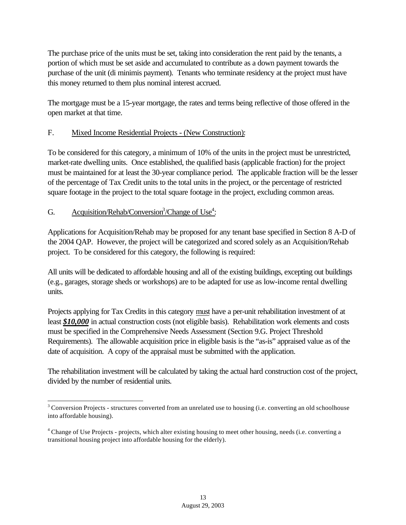The purchase price of the units must be set, taking into consideration the rent paid by the tenants, a portion of which must be set aside and accumulated to contribute as a down payment towards the purchase of the unit (di minimis payment). Tenants who terminate residency at the project must have this money returned to them plus nominal interest accrued.

The mortgage must be a 15-year mortgage, the rates and terms being reflective of those offered in the open market at that time.

## F. Mixed Income Residential Projects - (New Construction):

To be considered for this category, a minimum of 10% of the units in the project must be unrestricted, market-rate dwelling units. Once established, the qualified basis (applicable fraction) for the project must be maintained for at least the 30-year compliance period. The applicable fraction will be the lesser of the percentage of Tax Credit units to the total units in the project, or the percentage of restricted square footage in the project to the total square footage in the project, excluding common areas.

## G. Acquisition/Rehab/Conversion<sup>3</sup>/Change of Use<sup>4</sup>:

l

Applications for Acquisition/Rehab may be proposed for any tenant base specified in Section 8 A-D of the 2004 QAP. However, the project will be categorized and scored solely as an Acquisition/Rehab project. To be considered for this category, the following is required:

All units will be dedicated to affordable housing and all of the existing buildings, excepting out buildings (e.g., garages, storage sheds or workshops) are to be adapted for use as low-income rental dwelling units.

Projects applying for Tax Credits in this category must have a per-unit rehabilitation investment of at least *\$10,000* in actual construction costs (not eligible basis). Rehabilitation work elements and costs must be specified in the Comprehensive Needs Assessment (Section 9.G. Project Threshold Requirements). The allowable acquisition price in eligible basis is the "as-is" appraised value as of the date of acquisition. A copy of the appraisal must be submitted with the application.

The rehabilitation investment will be calculated by taking the actual hard construction cost of the project, divided by the number of residential units.

 $3$  Conversion Projects - structures converted from an unrelated use to housing (i.e. converting an old schoolhouse into affordable housing).

<sup>&</sup>lt;sup>4</sup> Change of Use Projects - projects, which alter existing housing to meet other housing, needs (i.e. converting a transitional housing project into affordable housing for the elderly).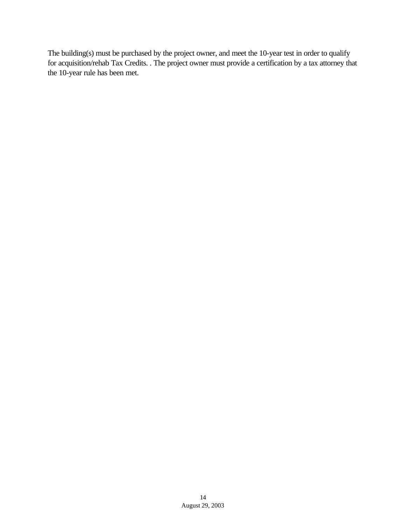The building(s) must be purchased by the project owner, and meet the 10-year test in order to qualify for acquisition/rehab Tax Credits. . The project owner must provide a certification by a tax attorney that the 10-year rule has been met.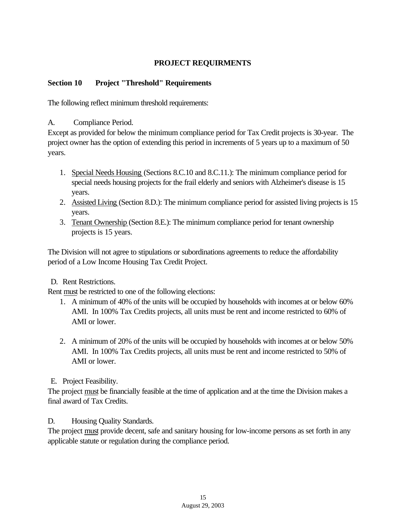## **PROJECT REQUIRMENTS**

## **Section 10 Project "Threshold" Requirements**

The following reflect minimum threshold requirements:

A. Compliance Period.

Except as provided for below the minimum compliance period for Tax Credit projects is 30-year. The project owner has the option of extending this period in increments of 5 years up to a maximum of 50 years.

- 1. Special Needs Housing (Sections 8.C.10 and 8.C.11.): The minimum compliance period for special needs housing projects for the frail elderly and seniors with Alzheimer's disease is 15 years.
- 2. Assisted Living (Section 8.D.): The minimum compliance period for assisted living projects is 15 years.
- 3. Tenant Ownership (Section 8.E.): The minimum compliance period for tenant ownership projects is 15 years.

The Division will not agree to stipulations or subordinations agreements to reduce the affordability period of a Low Income Housing Tax Credit Project.

## D. Rent Restrictions.

Rent must be restricted to one of the following elections:

- 1. A minimum of 40% of the units will be occupied by households with incomes at or below 60% AMI. In 100% Tax Credits projects, all units must be rent and income restricted to 60% of AMI or lower.
- 2. A minimum of 20% of the units will be occupied by households with incomes at or below 50% AMI. In 100% Tax Credits projects, all units must be rent and income restricted to 50% of AMI or lower.
- E. Project Feasibility.

The project must be financially feasible at the time of application and at the time the Division makes a final award of Tax Credits.

D. Housing Quality Standards.

The project must provide decent, safe and sanitary housing for low-income persons as set forth in any applicable statute or regulation during the compliance period.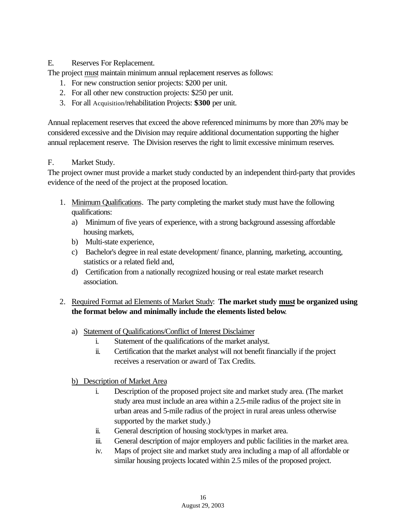## E. Reserves For Replacement.

The project must maintain minimum annual replacement reserves as follows:

- 1. For new construction senior projects: \$200 per unit.
- 2. For all other new construction projects: \$250 per unit.
- 3. For all Acquisition/rehabilitation Projects: **\$300** per unit.

Annual replacement reserves that exceed the above referenced minimums by more than 20% may be considered excessive and the Division may require additional documentation supporting the higher annual replacement reserve. The Division reserves the right to limit excessive minimum reserves.

## F. Market Study.

The project owner must provide a market study conducted by an independent third-party that provides evidence of the need of the project at the proposed location.

- 1. Minimum Qualifications. The party completing the market study must have the following qualifications:
	- a) Minimum of five years of experience, with a strong background assessing affordable housing markets,
	- b) Multi-state experience,
	- c) Bachelor's degree in real estate development/ finance, planning, marketing, accounting, statistics or a related field and,
	- d) Certification from a nationally recognized housing or real estate market research association.

# 2. Required Format ad Elements of Market Study: **The market study must be organized using the format below and minimally include the elements listed below**.

- a) Statement of Qualifications/Conflict of Interest Disclaimer
	- i. Statement of the qualifications of the market analyst.
	- ii. Certification that the market analyst will not benefit financially if the project receives a reservation or award of Tax Credits.
- b) Description of Market Area
	- i. Description of the proposed project site and market study area. (The market study area must include an area within a 2.5-mile radius of the project site in urban areas and 5-mile radius of the project in rural areas unless otherwise supported by the market study.)
	- ii. General description of housing stock/types in market area.
	- iii. General description of major employers and public facilities in the market area.
	- iv. Maps of project site and market study area including a map of all affordable or similar housing projects located within 2.5 miles of the proposed project.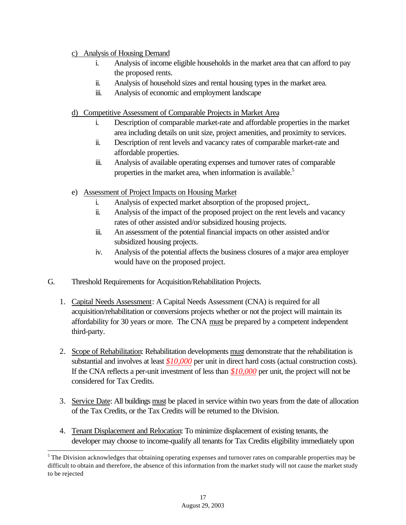## c) Analysis of Housing Demand

- i. Analysis of income eligible households in the market area that can afford to pay the proposed rents.
- ii. Analysis of household sizes and rental housing types in the market area.
- iii. Analysis of economic and employment landscape
- d) Competitive Assessment of Comparable Projects in Market Area
	- i. Description of comparable market-rate and affordable properties in the market area including details on unit size, project amenities, and proximity to services.
	- ii. Description of rent levels and vacancy rates of comparable market-rate and affordable properties.
	- iii. Analysis of available operating expenses and turnover rates of comparable properties in the market area, when information is available.<sup>5</sup>
- e) Assessment of Project Impacts on Housing Market
	- i. Analysis of expected market absorption of the proposed project,.
	- ii. Analysis of the impact of the proposed project on the rent levels and vacancy rates of other assisted and/or subsidized housing projects.
	- iii. An assessment of the potential financial impacts on other assisted and/or subsidized housing projects.
	- iv. Analysis of the potential affects the business closures of a major area employer would have on the proposed project.
- G. Threshold Requirements for Acquisition/Rehabilitation Projects.

- 1. Capital Needs Assessment: A Capital Needs Assessment (CNA) is required for all acquisition/rehabilitation or conversions projects whether or not the project will maintain its affordability for 30 years or more. The CNA must be prepared by a competent independent third-party.
- 2. Scope of Rehabilitation: Rehabilitation developments must demonstrate that the rehabilitation is substantial and involves at least *\$10,000* per unit in direct hard costs (actual construction costs). If the CNA reflects a per-unit investment of less than *\$10,000* per unit, the project will not be considered for Tax Credits.
- 3. Service Date: All buildings must be placed in service within two years from the date of allocation of the Tax Credits, or the Tax Credits will be returned to the Division.
- 4. Tenant Displacement and Relocation: To minimize displacement of existing tenants, the developer may choose to income-qualify all tenants for Tax Credits eligibility immediately upon

<sup>&</sup>lt;sup>5</sup> The Division acknowledges that obtaining operating expenses and turnover rates on comparable properties may be difficult to obtain and therefore, the absence of this information from the market study will not cause the market study to be rejected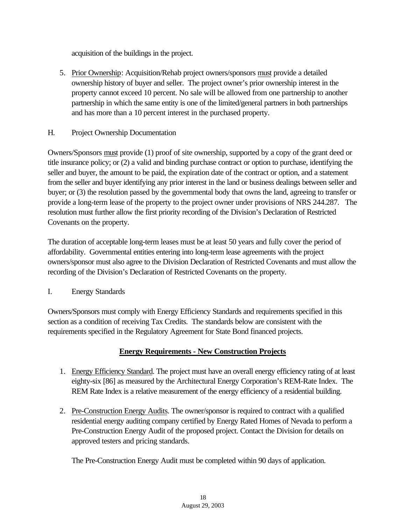acquisition of the buildings in the project.

- 5. Prior Ownership: Acquisition/Rehab project owners/sponsors must provide a detailed ownership history of buyer and seller. The project owner's prior ownership interest in the property cannot exceed 10 percent. No sale will be allowed from one partnership to another partnership in which the same entity is one of the limited/general partners in both partnerships and has more than a 10 percent interest in the purchased property.
- H. Project Ownership Documentation

Owners/Sponsors must provide (1) proof of site ownership, supported by a copy of the grant deed or title insurance policy; or (2) a valid and binding purchase contract or option to purchase, identifying the seller and buyer, the amount to be paid, the expiration date of the contract or option, and a statement from the seller and buyer identifying any prior interest in the land or business dealings between seller and buyer; or (3) the resolution passed by the governmental body that owns the land, agreeing to transfer or provide a long-term lease of the property to the project owner under provisions of NRS 244.287. The resolution must further allow the first priority recording of the Division's Declaration of Restricted Covenants on the property.

The duration of acceptable long-term leases must be at least 50 years and fully cover the period of affordability. Governmental entities entering into long-term lease agreements with the project owners/sponsor must also agree to the Division Declaration of Restricted Covenants and must allow the recording of the Division's Declaration of Restricted Covenants on the property.

I. Energy Standards

Owners/Sponsors must comply with Energy Efficiency Standards and requirements specified in this section as a condition of receiving Tax Credits. The standards below are consistent with the requirements specified in the Regulatory Agreement for State Bond financed projects.

# **Energy Requirements - New Construction Projects**

- 1. Energy Efficiency Standard. The project must have an overall energy efficiency rating of at least eighty-six [86] as measured by the Architectural Energy Corporation's REM-Rate Index. The REM Rate Index is a relative measurement of the energy efficiency of a residential building.
- 2. Pre-Construction Energy Audits. The owner/sponsor is required to contract with a qualified residential energy auditing company certified by Energy Rated Homes of Nevada to perform a Pre-Construction Energy Audit of the proposed project. Contact the Division for details on approved testers and pricing standards.

The Pre-Construction Energy Audit must be completed within 90 days of application.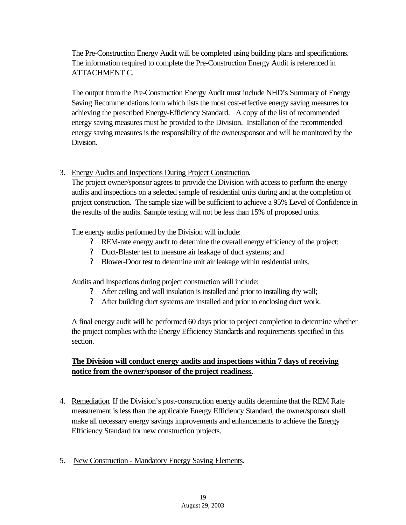# The Pre-Construction Energy Audit will be completed using building plans and specifications. The information required to complete the Pre-Construction Energy Audit is referenced in ATTACHMENT C.

The output from the Pre-Construction Energy Audit must include NHD's Summary of Energy Saving Recommendations form which lists the most cost-effective energy saving measures for achieving the prescribed Energy-Efficiency Standard. A copy of the list of recommended energy saving measures must be provided to the Division. Installation of the recommended energy saving measures is the responsibility of the owner/sponsor and will be monitored by the Division.

## 3. Energy Audits and Inspections During Project Construction.

The project owner/sponsor agrees to provide the Division with access to perform the energy audits and inspections on a selected sample of residential units during and at the completion of project construction. The sample size will be sufficient to achieve a 95% Level of Confidence in the results of the audits. Sample testing will not be less than 15% of proposed units.

The energy audits performed by the Division will include:

- ? REM-rate energy audit to determine the overall energy efficiency of the project;
- ? Duct-Blaster test to measure air leakage of duct systems; and
- ? Blower-Door test to determine unit air leakage within residential units.

Audits and Inspections during project construction will include:

- ? After ceiling and wall insulation is installed and prior to installing dry wall;
- ? After building duct systems are installed and prior to enclosing duct work.

A final energy audit will be performed 60 days prior to project completion to determine whether the project complies with the Energy Efficiency Standards and requirements specified in this section.

## **The Division will conduct energy audits and inspections within 7 days of receiving notice from the owner/sponsor of the project readiness.**

- 4. Remediation. If the Division's post-construction energy audits determine that the REM Rate measurement is less than the applicable Energy Efficiency Standard, the owner/sponsor shall make all necessary energy savings improvements and enhancements to achieve the Energy Efficiency Standard for new construction projects.
- 5. New Construction Mandatory Energy Saving Elements.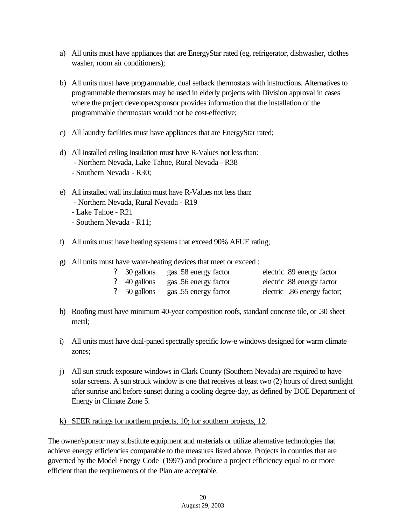- a) All units must have appliances that are EnergyStar rated (eg, refrigerator, dishwasher, clothes washer, room air conditioners);
- b) All units must have programmable, dual setback thermostats with instructions. Alternatives to programmable thermostats may be used in elderly projects with Division approval in cases where the project developer/sponsor provides information that the installation of the programmable thermostats would not be cost-effective;
- c) All laundry facilities must have appliances that are EnergyStar rated;
- d) All installed ceiling insulation must have R-Values not less than: - Northern Nevada, Lake Tahoe, Rural Nevada - R38 - Southern Nevada - R30;
- e) All installed wall insulation must have R-Values not less than: - Northern Nevada, Rural Nevada - R19 - Lake Tahoe - R21
	- Southern Nevada R11;
- f) All units must have heating systems that exceed 90% AFUE rating;
- g) All units must have water-heating devices that meet or exceed :

| $\frac{2}{30}$ gallons | gas .58 energy factor                         | electric .89 energy factor  |
|------------------------|-----------------------------------------------|-----------------------------|
|                        | ? 40 gallons gas .56 energy factor            | electric .88 energy factor  |
|                        | <sup>2</sup> 50 gallons gas .55 energy factor | electric .86 energy factor; |

- h) Roofing must have minimum 40-year composition roofs, standard concrete tile, or .30 sheet metal;
- i) All units must have dual-paned spectrally specific low-e windows designed for warm climate zones;
- j) All sun struck exposure windows in Clark County (Southern Nevada) are required to have solar screens. A sun struck window is one that receives at least two (2) hours of direct sunlight after sunrise and before sunset during a cooling degree-day, as defined by DOE Department of Energy in Climate Zone 5.
- k) SEER ratings for northern projects, 10; for southern projects, 12.

The owner/sponsor may substitute equipment and materials or utilize alternative technologies that achieve energy efficiencies comparable to the measures listed above. Projects in counties that are governed by the Model Energy Code (1997) and produce a project efficiency equal to or more efficient than the requirements of the Plan are acceptable.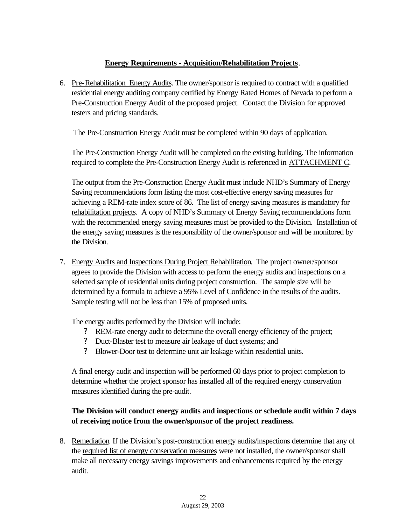## **Energy Requirements - Acquisition/Rehabilitation Projects**.

6. Pre-Rehabilitation Energy Audits. The owner/sponsor is required to contract with a qualified residential energy auditing company certified by Energy Rated Homes of Nevada to perform a Pre-Construction Energy Audit of the proposed project. Contact the Division for approved testers and pricing standards.

The Pre-Construction Energy Audit must be completed within 90 days of application.

The Pre-Construction Energy Audit will be completed on the existing building. The information required to complete the Pre-Construction Energy Audit is referenced in ATTACHMENT C.

The output from the Pre-Construction Energy Audit must include NHD's Summary of Energy Saving recommendations form listing the most cost-effective energy saving measures for achieving a REM-rate index score of 86. The list of energy saving measures is mandatory for rehabilitation projects. A copy of NHD's Summary of Energy Saving recommendations form with the recommended energy saving measures must be provided to the Division. Installation of the energy saving measures is the responsibility of the owner/sponsor and will be monitored by the Division.

7. Energy Audits and Inspections During Project Rehabilitation. The project owner/sponsor agrees to provide the Division with access to perform the energy audits and inspections on a selected sample of residential units during project construction. The sample size will be determined by a formula to achieve a 95% Level of Confidence in the results of the audits. Sample testing will not be less than 15% of proposed units.

The energy audits performed by the Division will include:

- ? REM-rate energy audit to determine the overall energy efficiency of the project;
- ? Duct-Blaster test to measure air leakage of duct systems; and
- ? Blower-Door test to determine unit air leakage within residential units.

A final energy audit and inspection will be performed 60 days prior to project completion to determine whether the project sponsor has installed all of the required energy conservation measures identified during the pre-audit.

# **The Division will conduct energy audits and inspections or schedule audit within 7 days of receiving notice from the owner/sponsor of the project readiness.**

8. Remediation. If the Division's post-construction energy audits/inspections determine that any of the required list of energy conservation measures were not installed, the owner/sponsor shall make all necessary energy savings improvements and enhancements required by the energy audit.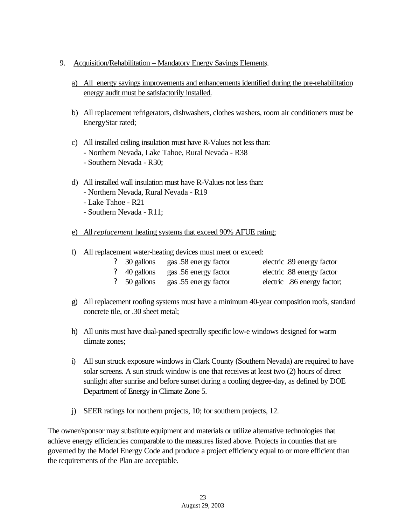## 9. Acquisition/Rehabilitation – Mandatory Energy Savings Elements.

- a) All energy savings improvements and enhancements identified during the pre-rehabilitation energy audit must be satisfactorily installed.
- b) All replacement refrigerators, dishwashers, clothes washers, room air conditioners must be EnergyStar rated;
- c) All installed ceiling insulation must have R-Values not less than: - Northern Nevada, Lake Tahoe, Rural Nevada - R38 - Southern Nevada - R30;
- d) All installed wall insulation must have R-Values not less than:
	- Northern Nevada, Rural Nevada R19
	- Lake Tahoe R21
	- Southern Nevada R11;
- e) All *replacement* heating systems that exceed 90% AFUE rating;
- f) All replacement water-heating devices must meet or exceed:

|                        | ? 30 gallons gas .58 energy factor | electric .89 energy factor  |
|------------------------|------------------------------------|-----------------------------|
|                        | ? 40 gallons gas .56 energy factor | electric .88 energy factor  |
| $\frac{2}{50}$ gallons | gas .55 energy factor              | electric .86 energy factor; |

- g) All replacement roofing systems must have a minimum 40-year composition roofs, standard concrete tile, or .30 sheet metal;
- h) All units must have dual-paned spectrally specific low-e windows designed for warm climate zones;
- i) All sun struck exposure windows in Clark County (Southern Nevada) are required to have solar screens. A sun struck window is one that receives at least two (2) hours of direct sunlight after sunrise and before sunset during a cooling degree-day, as defined by DOE Department of Energy in Climate Zone 5.

# j) SEER ratings for northern projects, 10; for southern projects, 12.

The owner/sponsor may substitute equipment and materials or utilize alternative technologies that achieve energy efficiencies comparable to the measures listed above. Projects in counties that are governed by the Model Energy Code and produce a project efficiency equal to or more efficient than the requirements of the Plan are acceptable.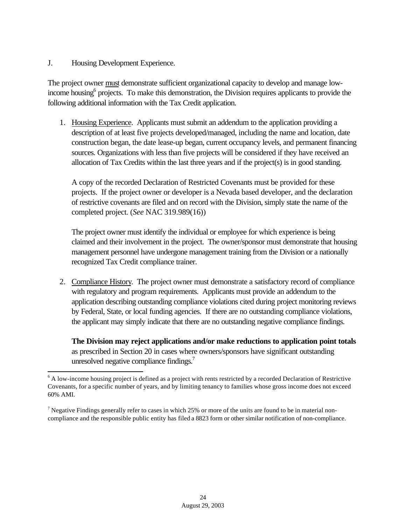#### J. Housing Development Experience.

l

The project owner must demonstrate sufficient organizational capacity to develop and manage lowincome housing<sup>6</sup> projects. To make this demonstration, the Division requires applicants to provide the following additional information with the Tax Credit application.

1. Housing Experience. Applicants must submit an addendum to the application providing a description of at least five projects developed/managed, including the name and location, date construction began, the date lease-up began, current occupancy levels, and permanent financing sources. Organizations with less than five projects will be considered if they have received an allocation of Tax Credits within the last three years and if the project(s) is in good standing.

A copy of the recorded Declaration of Restricted Covenants must be provided for these projects. If the project owner or developer is a Nevada based developer, and the declaration of restrictive covenants are filed and on record with the Division, simply state the name of the completed project. (*See* NAC 319.989(16))

The project owner must identify the individual or employee for which experience is being claimed and their involvement in the project. The owner/sponsor must demonstrate that housing management personnel have undergone management training from the Division or a nationally recognized Tax Credit compliance trainer.

2. Compliance History. The project owner must demonstrate a satisfactory record of compliance with regulatory and program requirements. Applicants must provide an addendum to the application describing outstanding compliance violations cited during project monitoring reviews by Federal, State, or local funding agencies. If there are no outstanding compliance violations, the applicant may simply indicate that there are no outstanding negative compliance findings.

**The Division may reject applications and/or make reductions to application point totals** as prescribed in Section 20 in cases where owners/sponsors have significant outstanding unresolved negative compliance findings.<sup>7</sup>

<sup>&</sup>lt;sup>6</sup> A low-income housing project is defined as a project with rents restricted by a recorded Declaration of Restrictive Covenants, for a specific number of years, and by limiting tenancy to families whose gross income does not exceed 60% AMI.

<sup>&</sup>lt;sup>7</sup> Negative Findings generally refer to cases in which 25% or more of the units are found to be in material noncompliance and the responsible public entity has filed a 8823 form or other similar notification of non-compliance.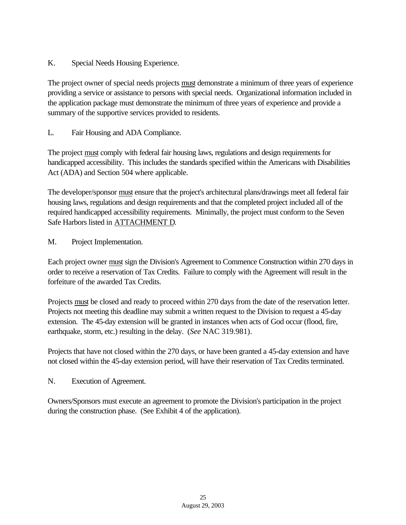K. Special Needs Housing Experience.

The project owner of special needs projects must demonstrate a minimum of three years of experience providing a service or assistance to persons with special needs. Organizational information included in the application package must demonstrate the minimum of three years of experience and provide a summary of the supportive services provided to residents.

L. Fair Housing and ADA Compliance.

The project must comply with federal fair housing laws, regulations and design requirements for handicapped accessibility. This includes the standards specified within the Americans with Disabilities Act (ADA) and Section 504 where applicable.

The developer/sponsor must ensure that the project's architectural plans/drawings meet all federal fair housing laws, regulations and design requirements and that the completed project included all of the required handicapped accessibility requirements. Minimally, the project must conform to the Seven Safe Harbors listed in ATTACHMENT D.

M. Project Implementation.

Each project owner must sign the Division's Agreement to Commence Construction within 270 days in order to receive a reservation of Tax Credits. Failure to comply with the Agreement will result in the forfeiture of the awarded Tax Credits.

Projects must be closed and ready to proceed within 270 days from the date of the reservation letter. Projects not meeting this deadline may submit a written request to the Division to request a 45-day extension. The 45-day extension will be granted in instances when acts of God occur (flood, fire, earthquake, storm, etc.) resulting in the delay. (*See* NAC 319.981).

Projects that have not closed within the 270 days, or have been granted a 45-day extension and have not closed within the 45-day extension period, will have their reservation of Tax Credits terminated.

N. Execution of Agreement.

Owners/Sponsors must execute an agreement to promote the Division's participation in the project during the construction phase. (See Exhibit 4 of the application).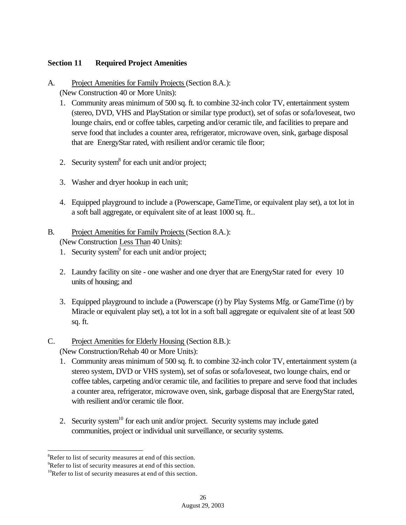## **Section 11 Required Project Amenities**

A. Project Amenities for Family Projects (Section 8.A.):

(New Construction 40 or More Units):

- 1. Community areas minimum of 500 sq. ft. to combine 32-inch color TV, entertainment system (stereo, DVD, VHS and PlayStation or similar type product), set of sofas or sofa/loveseat, two lounge chairs, end or coffee tables, carpeting and/or ceramic tile, and facilities to prepare and serve food that includes a counter area, refrigerator, microwave oven, sink, garbage disposal that are EnergyStar rated, with resilient and/or ceramic tile floor;
- 2. Security system $8$  for each unit and/or project;
- 3. Washer and dryer hookup in each unit;
- 4. Equipped playground to include a (Powerscape, GameTime, or equivalent play set), a tot lot in a soft ball aggregate, or equivalent site of at least 1000 sq. ft..

## B. Project Amenities for Family Projects (Section 8.A.): (New Construction Less Than 40 Units):

- 1. Security system<sup>9</sup> for each unit and/or project;
- 2. Laundry facility on site one washer and one dryer that are EnergyStar rated for every 10 units of housing; and
- 3. Equipped playground to include a (Powerscape (r) by Play Systems Mfg. or GameTime (r) by Miracle or equivalent play set), a tot lot in a soft ball aggregate or equivalent site of at least 500 sq. ft.

# C. Project Amenities for Elderly Housing (Section 8.B.):

(New Construction/Rehab 40 or More Units):

- 1. Community areas minimum of 500 sq. ft. to combine 32-inch color TV, entertainment system (a stereo system, DVD or VHS system), set of sofas or sofa/loveseat, two lounge chairs, end or coffee tables, carpeting and/or ceramic tile, and facilities to prepare and serve food that includes a counter area, refrigerator, microwave oven, sink, garbage disposal that are EnergyStar rated, with resilient and/or ceramic tile floor.
- 2. Security system<sup>10</sup> for each unit and/or project. Security systems may include gated communities, project or individual unit surveillance, or security systems.

<sup>&</sup>lt;sup>8</sup>Refer to list of security measures at end of this section.

<sup>&</sup>lt;sup>9</sup>Refer to list of security measures at end of this section.

 $10$ Refer to list of security measures at end of this section.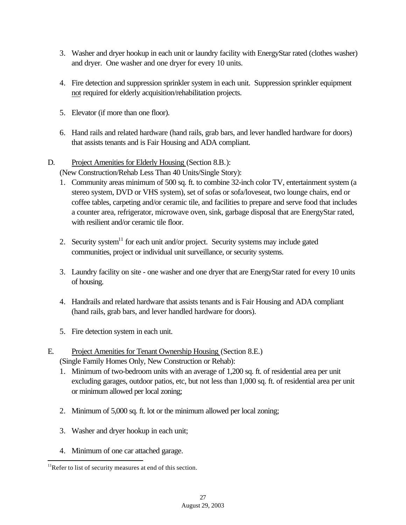- 3. Washer and dryer hookup in each unit or laundry facility with EnergyStar rated (clothes washer) and dryer. One washer and one dryer for every 10 units.
- 4. Fire detection and suppression sprinkler system in each unit. Suppression sprinkler equipment not required for elderly acquisition/rehabilitation projects.
- 5. Elevator (if more than one floor).
- 6. Hand rails and related hardware (hand rails, grab bars, and lever handled hardware for doors) that assists tenants and is Fair Housing and ADA compliant.
- D. Project Amenities for Elderly Housing (Section 8.B.):

(New Construction/Rehab Less Than 40 Units/Single Story):

- 1. Community areas minimum of 500 sq. ft. to combine 32-inch color TV, entertainment system (a stereo system, DVD or VHS system), set of sofas or sofa/loveseat, two lounge chairs, end or coffee tables, carpeting and/or ceramic tile, and facilities to prepare and serve food that includes a counter area, refrigerator, microwave oven, sink, garbage disposal that are EnergyStar rated, with resilient and/or ceramic tile floor.
- 2. Security system $11$  for each unit and/or project. Security systems may include gated communities, project or individual unit surveillance, or security systems.
- 3. Laundry facility on site one washer and one dryer that are EnergyStar rated for every 10 units of housing.
- 4. Handrails and related hardware that assists tenants and is Fair Housing and ADA compliant (hand rails, grab bars, and lever handled hardware for doors).
- 5. Fire detection system in each unit.
- E. Project Amenities for Tenant Ownership Housing (Section 8.E.) (Single Family Homes Only, New Construction or Rehab):
	- 1. Minimum of two-bedroom units with an average of 1,200 sq. ft. of residential area per unit excluding garages, outdoor patios, etc, but not less than 1,000 sq. ft. of residential area per unit or minimum allowed per local zoning;
	- 2. Minimum of 5,000 sq. ft. lot or the minimum allowed per local zoning;
	- 3. Washer and dryer hookup in each unit;
	- 4. Minimum of one car attached garage.

 $11$ Refer to list of security measures at end of this section.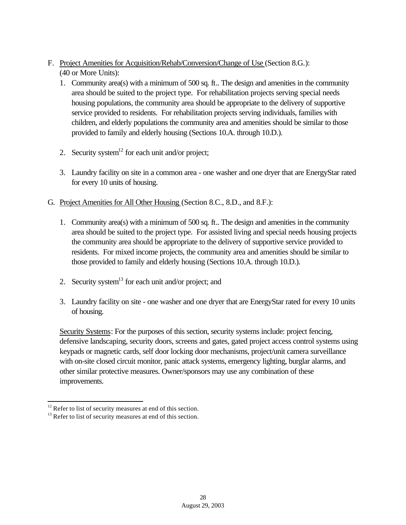- F. Project Amenities for Acquisition/Rehab/Conversion/Change of Use (Section 8.G.): (40 or More Units):
	- 1. Community area(s) with a minimum of 500 sq. ft.. The design and amenities in the community area should be suited to the project type. For rehabilitation projects serving special needs housing populations, the community area should be appropriate to the delivery of supportive service provided to residents. For rehabilitation projects serving individuals, families with children, and elderly populations the community area and amenities should be similar to those provided to family and elderly housing (Sections 10.A. through 10.D.).
	- 2. Security system<sup>12</sup> for each unit and/or project;
	- 3. Laundry facility on site in a common area one washer and one dryer that are EnergyStar rated for every 10 units of housing.
- G. Project Amenities for All Other Housing (Section 8.C., 8.D., and 8.F.):
	- 1. Community area(s) with a minimum of 500 sq. ft.. The design and amenities in the community area should be suited to the project type. For assisted living and special needs housing projects the community area should be appropriate to the delivery of supportive service provided to residents. For mixed income projects, the community area and amenities should be similar to those provided to family and elderly housing (Sections 10.A. through 10.D.).
	- 2. Security system<sup>13</sup> for each unit and/or project; and
	- 3. Laundry facility on site one washer and one dryer that are EnergyStar rated for every 10 units of housing.

Security Systems: For the purposes of this section, security systems include: project fencing, defensive landscaping, security doors, screens and gates, gated project access control systems using keypads or magnetic cards, self door locking door mechanisms, project/unit camera surveillance with on-site closed circuit monitor, panic attack systems, emergency lighting, burglar alarms, and other similar protective measures. Owner/sponsors may use any combination of these improvements.

 $12$  Refer to list of security measures at end of this section.

<sup>&</sup>lt;sup>13</sup> Refer to list of security measures at end of this section.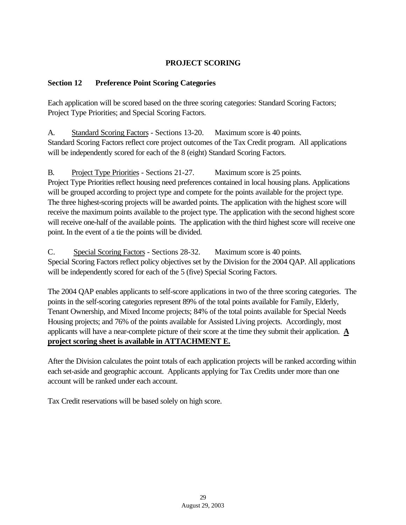# **PROJECT SCORING**

## **Section 12 Preference Point Scoring Categories**

Each application will be scored based on the three scoring categories: Standard Scoring Factors; Project Type Priorities; and Special Scoring Factors.

A. Standard Scoring Factors - Sections 13-20. Maximum score is 40 points. Standard Scoring Factors reflect core project outcomes of the Tax Credit program. All applications will be independently scored for each of the 8 (eight) Standard Scoring Factors.

B. Project Type Priorities - Sections 21-27. Maximum score is 25 points. Project Type Priorities reflect housing need preferences contained in local housing plans. Applications will be grouped according to project type and compete for the points available for the project type. The three highest-scoring projects will be awarded points. The application with the highest score will receive the maximum points available to the project type. The application with the second highest score will receive one-half of the available points. The application with the third highest score will receive one point. In the event of a tie the points will be divided.

C. Special Scoring Factors - Sections 28-32. Maximum score is 40 points. Special Scoring Factors reflect policy objectives set by the Division for the 2004 QAP. All applications will be independently scored for each of the 5 (five) Special Scoring Factors.

The 2004 QAP enables applicants to self-score applications in two of the three scoring categories. The points in the self-scoring categories represent 89% of the total points available for Family, Elderly, Tenant Ownership, and Mixed Income projects; 84% of the total points available for Special Needs Housing projects; and 76% of the points available for Assisted Living projects. Accordingly, most applicants will have a near-complete picture of their score at the time they submit their application. **A project scoring sheet is available in ATTACHMENT E.**

After the Division calculates the point totals of each application projects will be ranked according within each set-aside and geographic account. Applicants applying for Tax Credits under more than one account will be ranked under each account.

Tax Credit reservations will be based solely on high score.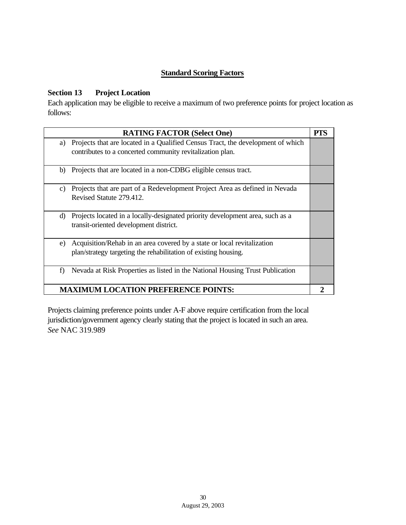# **Standard Scoring Factors**

# **Section 13 Project Location**

Each application may be eligible to receive a maximum of two preference points for project location as follows:

|                                            | <b>RATING FACTOR (Select One)</b>                                                                                                            | PTS |
|--------------------------------------------|----------------------------------------------------------------------------------------------------------------------------------------------|-----|
| a)                                         | Projects that are located in a Qualified Census Tract, the development of which<br>contributes to a concerted community revitalization plan. |     |
| b)                                         | Projects that are located in a non-CDBG eligible census tract.                                                                               |     |
| C)                                         | Projects that are part of a Redevelopment Project Area as defined in Nevada<br>Revised Statute 279.412.                                      |     |
| d)                                         | Projects located in a locally-designated priority development area, such as a<br>transit-oriented development district.                      |     |
| e)                                         | Acquisition/Rehab in an area covered by a state or local revitalization<br>plan/strategy targeting the rehabilitation of existing housing.   |     |
| f)                                         | Nevada at Risk Properties as listed in the National Housing Trust Publication                                                                |     |
| <b>MAXIMUM LOCATION PREFERENCE POINTS:</b> |                                                                                                                                              |     |

Projects claiming preference points under A-F above require certification from the local jurisdiction/government agency clearly stating that the project is located in such an area. *See* NAC 319.989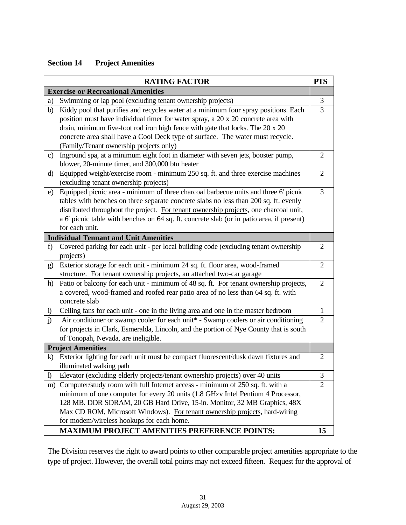# **Section 14 Project Amenities**

|               | <b>RATING FACTOR</b>                                                                                                                                                                                                                                                                                                                                                                   | <b>PTS</b>     |
|---------------|----------------------------------------------------------------------------------------------------------------------------------------------------------------------------------------------------------------------------------------------------------------------------------------------------------------------------------------------------------------------------------------|----------------|
|               | <b>Exercise or Recreational Amenities</b>                                                                                                                                                                                                                                                                                                                                              |                |
| a)            | Swimming or lap pool (excluding tenant ownership projects)                                                                                                                                                                                                                                                                                                                             | 3              |
| b)            | Kiddy pool that purifies and recycles water at a minimum four spray positions. Each<br>position must have individual timer for water spray, a 20 x 20 concrete area with<br>drain, minimum five-foot rod iron high fence with gate that locks. The 20 x 20<br>concrete area shall have a Cool Deck type of surface. The water must recycle.<br>(Family/Tenant ownership projects only) | 3              |
| $\mathbf{c})$ | Inground spa, at a minimum eight foot in diameter with seven jets, booster pump,<br>blower, 20-minute timer, and 300,000 btu heater                                                                                                                                                                                                                                                    | 2              |
| d)            | Equipped weight/exercise room - minimum 250 sq. ft. and three exercise machines<br>(excluding tenant ownership projects)                                                                                                                                                                                                                                                               | $\overline{2}$ |
| e)            | Equipped picnic area - minimum of three charcoal barbecue units and three 6' picnic<br>tables with benches on three separate concrete slabs no less than 200 sq. ft. evenly<br>distributed throughout the project. For tenant ownership projects, one charcoal unit,<br>a 6' picnic table with benches on 64 sq. ft. concrete slab (or in patio area, if present)<br>for each unit.    | $\overline{3}$ |
|               | <b>Individual Tennant and Unit Amenities</b>                                                                                                                                                                                                                                                                                                                                           |                |
| f)            | Covered parking for each unit - per local building code (excluding tenant ownership<br>projects)                                                                                                                                                                                                                                                                                       | 2              |
| $\mathbf{g}$  | Exterior storage for each unit - minimum 24 sq. ft. floor area, wood-framed<br>structure. For tenant ownership projects, an attached two-car garage                                                                                                                                                                                                                                    | $\overline{2}$ |
| h)            | Patio or balcony for each unit - minimum of 48 sq. ft. For tenant ownership projects,<br>a covered, wood-framed and roofed rear patio area of no less than 64 sq. ft. with<br>concrete slab                                                                                                                                                                                            | $\overline{2}$ |
| i)            | Ceiling fans for each unit - one in the living area and one in the master bedroom                                                                                                                                                                                                                                                                                                      | $\mathbf{1}$   |
| j)            | Air conditioner or swamp cooler for each unit* - Swamp coolers or air conditioning<br>for projects in Clark, Esmeralda, Lincoln, and the portion of Nye County that is south<br>of Tonopah, Nevada, are ineligible.                                                                                                                                                                    | $\overline{2}$ |
|               | <b>Project Amenities</b>                                                                                                                                                                                                                                                                                                                                                               |                |
| $\bf k$       | Exterior lighting for each unit must be compact fluorescent/dusk dawn fixtures and<br>illuminated walking path                                                                                                                                                                                                                                                                         | $\overline{2}$ |
| $\mathbf{D}$  | Elevator (excluding elderly projects/tenant ownership projects) over 40 units                                                                                                                                                                                                                                                                                                          | 3              |
|               | m) Computer/study room with full Internet access - minimum of 250 sq. ft. with a<br>minimum of one computer for every 20 units (1.8 GHzv Intel Pentium 4 Processor,<br>128 MB. DDR SDRAM, 20 GB Hard Drive, 15-in. Monitor, 32 MB Graphics, 48X<br>Max CD ROM, Microsoft Windows). For tenant ownership projects, hard-wiring<br>for modem/wireless hookups for each home.             | $\overline{2}$ |
|               | <b>MAXIMUM PROJECT AMENITIES PREFERENCE POINTS:</b>                                                                                                                                                                                                                                                                                                                                    | 15             |

The Division reserves the right to award points to other comparable project amenities appropriate to the type of project. However, the overall total points may not exceed fifteen. Request for the approval of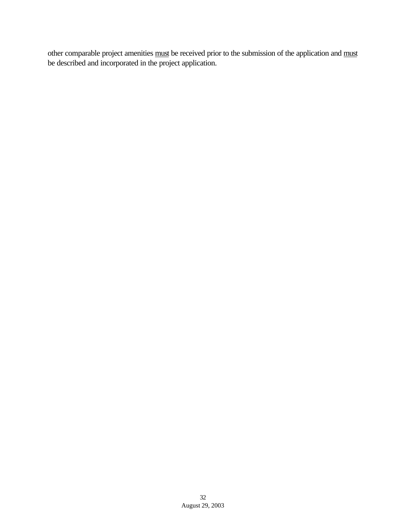other comparable project amenities must be received prior to the submission of the application and must be described and incorporated in the project application.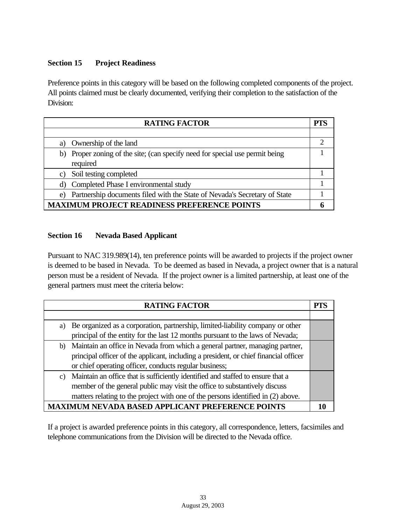# **Section 15 Project Readiness**

Preference points in this category will be based on the following completed components of the project. All points claimed must be clearly documented, verifying their completion to the satisfaction of the Division:

| <b>RATING FACTOR</b>                                                            | <b>PTS</b> |
|---------------------------------------------------------------------------------|------------|
|                                                                                 |            |
| Ownership of the land<br>a)                                                     | າ          |
| b) Proper zoning of the site; (can specify need for special use permit being    |            |
| required                                                                        |            |
| Soil testing completed<br>C)                                                    |            |
| d) Completed Phase I environmental study                                        |            |
| Partnership documents filed with the State of Nevada's Secretary of State<br>e) |            |
| <b>MAXIMUM PROJECT READINESS PREFERENCE POINTS</b>                              |            |

## **Section 16 Nevada Based Applicant**

Pursuant to NAC 319.989(14), ten preference points will be awarded to projects if the project owner is deemed to be based in Nevada. To be deemed as based in Nevada, a project owner that is a natural person must be a resident of Nevada. If the project owner is a limited partnership, at least one of the general partners must meet the criteria below:

|                 | <b>RATING FACTOR</b>                                                                  | PTS |
|-----------------|---------------------------------------------------------------------------------------|-----|
|                 |                                                                                       |     |
| a)              | Be organized as a corporation, partnership, limited-liability company or other        |     |
|                 | principal of the entity for the last 12 months pursuant to the laws of Nevada;        |     |
|                 | b) Maintain an office in Nevada from which a general partner, managing partner,       |     |
|                 | principal officer of the applicant, including a president, or chief financial officer |     |
|                 | or chief operating officer, conducts regular business;                                |     |
| $\mathcal{C}$ ) | Maintain an office that is sufficiently identified and staffed to ensure that a       |     |
|                 | member of the general public may visit the office to substantively discuss            |     |
|                 | matters relating to the project with one of the persons identified in (2) above.      |     |
|                 | UM NEVADA BASED APPLICANT PREFERENCE POINTS                                           |     |

If a project is awarded preference points in this category, all correspondence, letters, facsimiles and telephone communications from the Division will be directed to the Nevada office.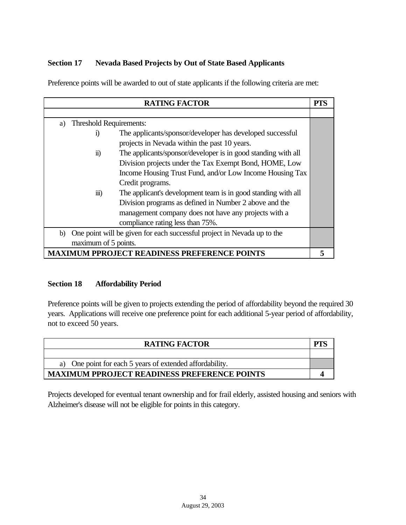# **Section 17 Nevada Based Projects by Out of State Based Applicants**

Preference points will be awarded to out of state applicants if the following criteria are met:

| <b>RATING FACTOR</b>                                                                    | PTS |
|-----------------------------------------------------------------------------------------|-----|
|                                                                                         |     |
| Threshold Requirements:<br>a)                                                           |     |
| The applicants/sponsor/developer has developed successful<br>$\bf{1}$                   |     |
| projects in Nevada within the past 10 years.                                            |     |
| The applicants/sponsor/developer is in good standing with all<br>$\ddot{\mathbf{n}}$ )  |     |
| Division projects under the Tax Exempt Bond, HOME, Low                                  |     |
| Income Housing Trust Fund, and/or Low Income Housing Tax                                |     |
| Credit programs.                                                                        |     |
| $\dddot{\mathbf{m}}$ )<br>The applicant's development team is in good standing with all |     |
| Division programs as defined in Number 2 above and the                                  |     |
| management company does not have any projects with a                                    |     |
| compliance rating less than 75%.                                                        |     |
| One point will be given for each successful project in Nevada up to the<br>b)           |     |
| maximum of 5 points.                                                                    |     |
| <b>MAXIMUM PPROJECT READINESS PREFERENCE POINTS</b>                                     |     |

#### **Section 18 Affordability Period**

Preference points will be given to projects extending the period of affordability beyond the required 30 years. Applications will receive one preference point for each additional 5-year period of affordability, not to exceed 50 years.

| <b>RATING FACTOR</b>                                     | PТ |
|----------------------------------------------------------|----|
|                                                          |    |
| a) One point for each 5 years of extended affordability. |    |
| <b>MAXIMUM PPROJECT READINESS PREFERENCE POINTS</b>      |    |

Projects developed for eventual tenant ownership and for frail elderly, assisted housing and seniors with Alzheimer's disease will not be eligible for points in this category.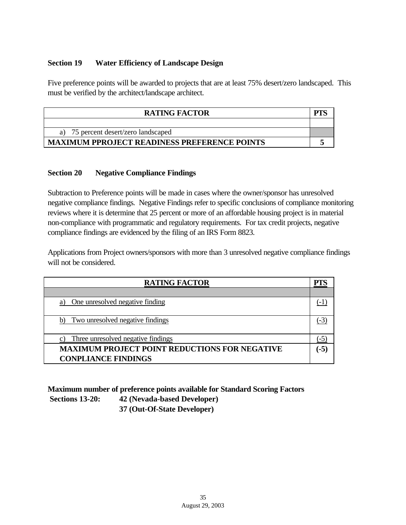#### **Section 19 Water Efficiency of Landscape Design**

Five preference points will be awarded to projects that are at least 75% desert/zero landscaped. This must be verified by the architect/landscape architect.

| <b>RATING FACTOR</b>                                |  |
|-----------------------------------------------------|--|
|                                                     |  |
| 75 percent desert/zero landscaped                   |  |
| <b>MAXIMUM PPROJECT READINESS PREFERENCE POINTS</b> |  |

#### **Section 20 Negative Compliance Findings**

Subtraction to Preference points will be made in cases where the owner/sponsor has unresolved negative compliance findings. Negative Findings refer to specific conclusions of compliance monitoring reviews where it is determine that 25 percent or more of an affordable housing project is in material non-compliance with programmatic and regulatory requirements. For tax credit projects, negative compliance findings are evidenced by the filing of an IRS Form 8823.

Applications from Project owners/sponsors with more than 3 unresolved negative compliance findings will not be considered.

| <b>RATING FACTOR</b>                                                               |        |
|------------------------------------------------------------------------------------|--------|
|                                                                                    |        |
| One unresolved negative finding<br>a)                                              |        |
| Two unresolved negative findings<br>b)                                             |        |
| Three unresolved negative findings                                                 |        |
| <b>MAXIMUM PROJECT POINT REDUCTIONS FOR NEGATIVE</b><br><b>CONPLIANCE FINDINGS</b> | $(-5)$ |

**Maximum number of preference points available for Standard Scoring Factors Sections 13-20: 42 (Nevada-based Developer)**

**37 (Out-Of-State Developer)**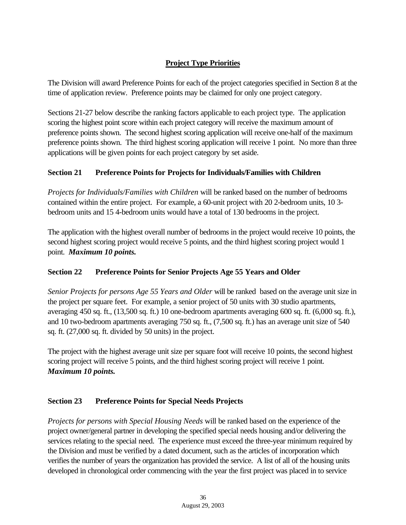# **Project Type Priorities**

The Division will award Preference Points for each of the project categories specified in Section 8 at the time of application review. Preference points may be claimed for only one project category.

Sections 21-27 below describe the ranking factors applicable to each project type. The application scoring the highest point score within each project category will receive the maximum amount of preference points shown. The second highest scoring application will receive one-half of the maximum preference points shown. The third highest scoring application will receive 1 point. No more than three applications will be given points for each project category by set aside.

# **Section 21 Preference Points for Projects for Individuals/Families with Children**

*Projects for Individuals/Families with Children* will be ranked based on the number of bedrooms contained within the entire project. For example, a 60-unit project with 20 2-bedroom units, 10 3 bedroom units and 15 4-bedroom units would have a total of 130 bedrooms in the project.

The application with the highest overall number of bedrooms in the project would receive 10 points, the second highest scoring project would receive 5 points, and the third highest scoring project would 1 point. *Maximum 10 points.*

# **Section 22 Preference Points for Senior Projects Age 55 Years and Older**

*Senior Projects for persons Age 55 Years and Older* will be ranked based on the average unit size in the project per square feet. For example, a senior project of 50 units with 30 studio apartments, averaging 450 sq. ft., (13,500 sq. ft.) 10 one-bedroom apartments averaging 600 sq. ft. (6,000 sq. ft.), and 10 two-bedroom apartments averaging 750 sq. ft., (7,500 sq. ft.) has an average unit size of 540 sq. ft. (27,000 sq. ft. divided by 50 units) in the project.

The project with the highest average unit size per square foot will receive 10 points, the second highest scoring project will receive 5 points, and the third highest scoring project will receive 1 point. *Maximum 10 points.*

# **Section 23 Preference Points for Special Needs Projects**

*Projects for persons with Special Housing Needs* will be ranked based on the experience of the project owner/general partner in developing the specified special needs housing and/or delivering the services relating to the special need. The experience must exceed the three-year minimum required by the Division and must be verified by a dated document, such as the articles of incorporation which verifies the number of years the organization has provided the service. A list of all of the housing units developed in chronological order commencing with the year the first project was placed in to service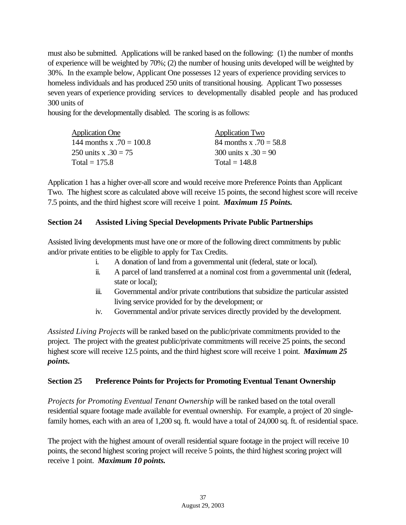must also be submitted. Applications will be ranked based on the following: (1) the number of months of experience will be weighted by 70%; (2) the number of housing units developed will be weighted by 30%. In the example below, Applicant One possesses 12 years of experience providing services to homeless individuals and has produced 250 units of transitional housing. Applicant Two possesses seven years of experience providing services to developmentally disabled people and has produced 300 units of

housing for the developmentally disabled. The scoring is as follows:

| <b>Application One</b>     | <b>Application Two</b>   |
|----------------------------|--------------------------|
| 144 months x $.70 = 100.8$ | 84 months x $.70 = 58.8$ |
| 250 units x $.30 = 75$     | 300 units x $.30 = 90$   |
| Total = $175.8$            | Total = $148.8$          |

Application 1 has a higher over-all score and would receive more Preference Points than Applicant Two. The highest score as calculated above will receive 15 points, the second highest score will receive 7.5 points, and the third highest score will receive 1 point. *Maximum 15 Points.*

# **Section 24 Assisted Living Special Developments Private Public Partnerships**

Assisted living developments must have one or more of the following direct commitments by public and/or private entities to be eligible to apply for Tax Credits.

- i. A donation of land from a governmental unit (federal, state or local).
- ii. A parcel of land transferred at a nominal cost from a governmental unit (federal, state or local);
- iii. Governmental and/or private contributions that subsidize the particular assisted living service provided for by the development; or
- iv. Governmental and/or private services directly provided by the development.

*Assisted Living Projects* will be ranked based on the public/private commitments provided to the project. The project with the greatest public/private commitments will receive 25 points, the second highest score will receive 12.5 points, and the third highest score will receive 1 point. *Maximum 25 points.*

#### **Section 25 Preference Points for Projects for Promoting Eventual Tenant Ownership**

*Projects for Promoting Eventual Tenant Ownership* will be ranked based on the total overall residential square footage made available for eventual ownership. For example, a project of 20 singlefamily homes, each with an area of 1,200 sq. ft. would have a total of 24,000 sq. ft. of residential space.

The project with the highest amount of overall residential square footage in the project will receive 10 points, the second highest scoring project will receive 5 points, the third highest scoring project will receive 1 point. *Maximum 10 points.*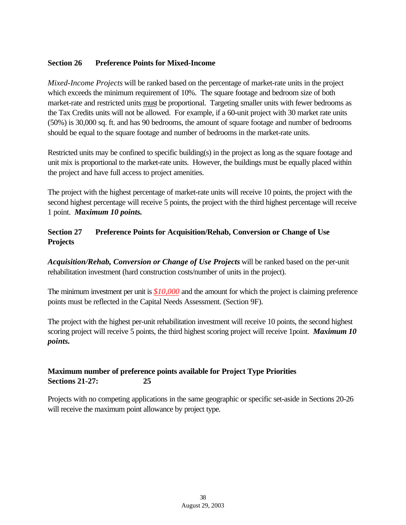#### **Section 26 Preference Points for Mixed-Income**

*Mixed-Income Projects* will be ranked based on the percentage of market-rate units in the project which exceeds the minimum requirement of 10%. The square footage and bedroom size of both market-rate and restricted units must be proportional. Targeting smaller units with fewer bedrooms as the Tax Credits units will not be allowed. For example, if a 60-unit project with 30 market rate units (50%) is 30,000 sq. ft. and has 90 bedrooms, the amount of square footage and number of bedrooms should be equal to the square footage and number of bedrooms in the market-rate units.

Restricted units may be confined to specific building(s) in the project as long as the square footage and unit mix is proportional to the market-rate units. However, the buildings must be equally placed within the project and have full access to project amenities.

The project with the highest percentage of market-rate units will receive 10 points, the project with the second highest percentage will receive 5 points, the project with the third highest percentage will receive 1 point. *Maximum 10 points.*

# **Section 27 Preference Points for Acquisition/Rehab, Conversion or Change of Use Projects**

*Acquisition/Rehab, Conversion or Change of Use Projects* will be ranked based on the per-unit rehabilitation investment (hard construction costs/number of units in the project).

The minimum investment per unit is *\$10,000* and the amount for which the project is claiming preference points must be reflected in the Capital Needs Assessment. (Section 9F).

The project with the highest per-unit rehabilitation investment will receive 10 points, the second highest scoring project will receive 5 points, the third highest scoring project will receive 1point. *Maximum 10 points.*

## **Maximum number of preference points available for Project Type Priorities Sections 21-27: 25**

Projects with no competing applications in the same geographic or specific set-aside in Sections 20-26 will receive the maximum point allowance by project type*.*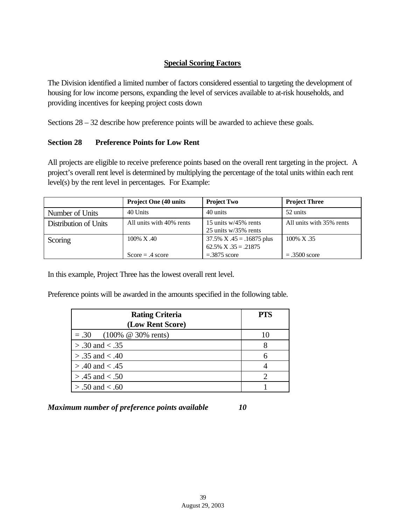# **Special Scoring Factors**

The Division identified a limited number of factors considered essential to targeting the development of housing for low income persons, expanding the level of services available to at-risk households, and providing incentives for keeping project costs down

Sections 28 – 32 describe how preference points will be awarded to achieve these goals.

## **Section 28 Preference Points for Low Rent**

All projects are eligible to receive preference points based on the overall rent targeting in the project. A project's overall rent level is determined by multiplying the percentage of the total units within each rent level(s) by the rent level in percentages. For Example:

|                       | <b>Project One (40 units)</b> | <b>Project Two</b>                                          | <b>Project Three</b>     |
|-----------------------|-------------------------------|-------------------------------------------------------------|--------------------------|
| Number of Units       | 40 Units                      | 40 units                                                    | 52 units                 |
| Distribution of Units | All units with 40% rents      | 15 units $w/45\%$ rents<br>$25$ units w/35% rents           | All units with 35% rents |
| Scoring               | 100% X.40                     | $37.5\%$ X $.45 = .16875$ plus<br>$62.5\%$ X $.35 = .21875$ | $100\% \text{ X}$ .35    |
|                       | $Score = .4 score$            | $=.3875$ score                                              | $=.3500$ score           |

In this example, Project Three has the lowest overall rent level.

Preference points will be awarded in the amounts specified in the following table.

| <b>Rating Criteria</b>     | <b>PTS</b>               |
|----------------------------|--------------------------|
| (Low Rent Score)           |                          |
| $= .30$ (100% @ 30% rents) | $\mathbf{I}(\mathbf{I})$ |
| $> .30$ and $< .35$        |                          |
| $> .35$ and $< .40$        |                          |
| $> .40$ and $< .45$        |                          |
| $> .45$ and $< .50$        |                          |
| $> .50$ and $< .60$        |                          |

*Maximum number of preference points available 10*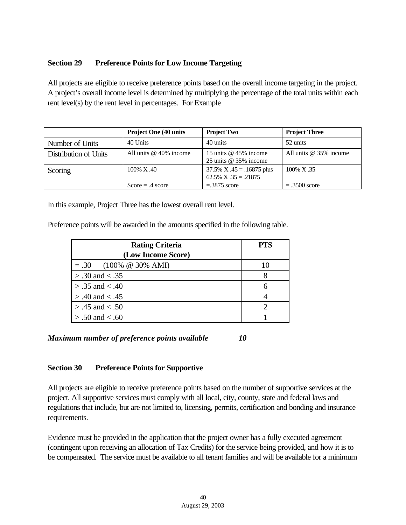#### **Section 29 Preference Points for Low Income Targeting**

All projects are eligible to receive preference points based on the overall income targeting in the project. A project's overall income level is determined by multiplying the percentage of the total units within each rent level(s) by the rent level in percentages. For Example

|                       | <b>Project One (40 units)</b> | <b>Project Two</b>             | <b>Project Three</b>     |
|-----------------------|-------------------------------|--------------------------------|--------------------------|
| Number of Units       | 40 Units                      | 40 units                       | 52 units                 |
| Distribution of Units | All units $@$ 40% income      | 15 units @ 45% income          | All units $@35\%$ income |
|                       |                               | 25 units $@$ 35% income        |                          |
| Scoring               | 100% X.40                     | $37.5\%$ X $.45 = .16875$ plus | 100% X.35                |
|                       |                               | $62.5\%$ X $.35 = .21875$      |                          |
|                       | $Score = .4 score$            | $=.3875$ score                 | $=.3500$ score           |

In this example, Project Three has the lowest overall rent level.

Preference points will be awarded in the amounts specified in the following table.

| <b>Rating Criteria</b>   | <b>PTS</b> |
|--------------------------|------------|
| (Low Income Score)       |            |
| $= .30$ (100% @ 30% AMI) | 10         |
| $> .30$ and $< .35$      |            |
| $> .35$ and $< .40$      |            |
| $> .40$ and $< .45$      |            |
| $> .45$ and $< .50$      |            |
| $> .50$ and $< .60$      |            |

*Maximum number of preference points available 10*

#### **Section 30 Preference Points for Supportive**

All projects are eligible to receive preference points based on the number of supportive services at the project. All supportive services must comply with all local, city, county, state and federal laws and regulations that include, but are not limited to, licensing, permits, certification and bonding and insurance requirements.

Evidence must be provided in the application that the project owner has a fully executed agreement (contingent upon receiving an allocation of Tax Credits) for the service being provided, and how it is to be compensated. The service must be available to all tenant families and will be available for a minimum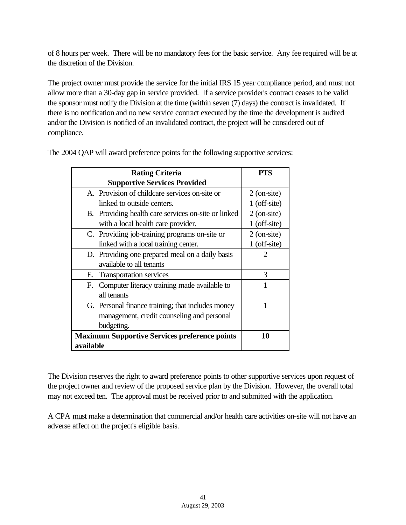of 8 hours per week. There will be no mandatory fees for the basic service. Any fee required will be at the discretion of the Division.

The project owner must provide the service for the initial IRS 15 year compliance period, and must not allow more than a 30-day gap in service provided. If a service provider's contract ceases to be valid the sponsor must notify the Division at the time (within seven (7) days) the contract is invalidated. If there is no notification and no new service contract executed by the time the development is audited and/or the Division is notified of an invalidated contract, the project will be considered out of compliance.

| <b>Rating Criteria</b>                               | PTS                         |
|------------------------------------------------------|-----------------------------|
| <b>Supportive Services Provided</b>                  |                             |
| A. Provision of childcare services on-site or        | $2$ (on-site)               |
| linked to outside centers.                           | 1 (off-site)                |
| B. Providing health care services on-site or linked  | $2$ (on-site)               |
| with a local health care provider.                   | 1 (off-site)                |
| C. Providing job-training programs on-site or        | $2$ (on-site)               |
| linked with a local training center.                 | $1$ (off-site)              |
| D. Providing one prepared meal on a daily basis      | $\mathcal{D}_{\mathcal{L}}$ |
| available to all tenants                             |                             |
| E. Transportation services                           | 3                           |
| F. Computer literacy training made available to      |                             |
| all tenants                                          |                             |
| G. Personal finance training; that includes money    | 1                           |
| management, credit counseling and personal           |                             |
| budgeting.                                           |                             |
| <b>Maximum Supportive Services preference points</b> | 10                          |
| available                                            |                             |

The 2004 QAP will award preference points for the following supportive services:

The Division reserves the right to award preference points to other supportive services upon request of the project owner and review of the proposed service plan by the Division. However, the overall total may not exceed ten. The approval must be received prior to and submitted with the application.

A CPA must make a determination that commercial and/or health care activities on-site will not have an adverse affect on the project's eligible basis.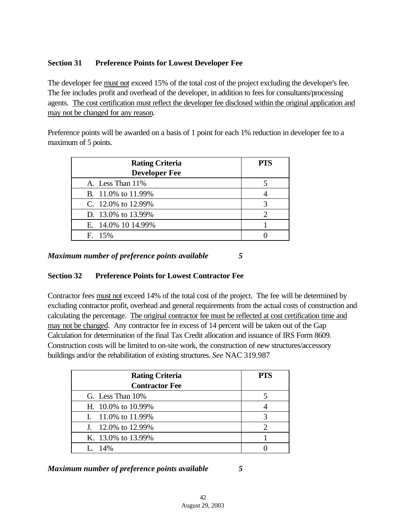# **Section 31 Preference Points for Lowest Developer Fee**

The developer fee must not exceed 15% of the total cost of the project excluding the developer's fee. The fee includes profit and overhead of the developer, in addition to fees for consultants/processing agents. The cost certification must reflect the developer fee disclosed within the original application and may not be changed for any reason.

Preference points will be awarded on a basis of 1 point for each 1% reduction in developer fee to a maximum of 5 points.

| <b>Rating Criteria</b> | <b>PTS</b> |
|------------------------|------------|
| <b>Developer Fee</b>   |            |
| A. Less Than 11%       |            |
| B. 11.0% to 11.99%     |            |
| C. 12.0% to 12.99%     |            |
| D. 13.0% to 13.99%     |            |
| E. 14.0% 10 14.99%     |            |
| F. 15%                 |            |

*Maximum number of preference points available 5*

# **Section 32 Preference Points for Lowest Contractor Fee**

Contractor fees must not exceed 14% of the total cost of the project. The fee will be determined by excluding contractor profit, overhead and general requirements from the actual costs of construction and calculating the percentage. The original contractor fee must be reflected at cost certification time and may not be changed. Any contractor fee in excess of 14 percent will be taken out of the Gap Calculation for determination of the final Tax Credit allocation and issuance of IRS Form 8609. Construction costs will be limited to on-site work, the construction of new structures/accessory buildings and/or the rehabilitation of existing structures. *See* NAC 319.987

| <b>Rating Criteria</b> | <b>PTS</b> |
|------------------------|------------|
| <b>Contractor Fee</b>  |            |
| G. Less Than 10%       |            |
| H. 10.0% to 10.99%     |            |
| I. $11.0\%$ to 11.99%  |            |
| J. 12.0% to 12.99%     |            |
| K. 13.0% to 13.99%     |            |
| I. 14%                 |            |

*Maximum number of preference points available 5*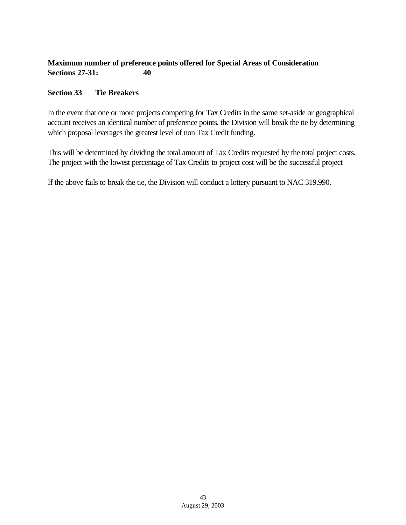# **Maximum number of preference points offered for Special Areas of Consideration Sections 27-31: 40**

## **Section 33 Tie Breakers**

In the event that one or more projects competing for Tax Credits in the same set-aside or geographical account receives an identical number of preference points, the Division will break the tie by determining which proposal leverages the greatest level of non Tax Credit funding.

This will be determined by dividing the total amount of Tax Credits requested by the total project costs. The project with the lowest percentage of Tax Credits to project cost will be the successful project

If the above fails to break the tie, the Division will conduct a lottery pursuant to NAC 319.990.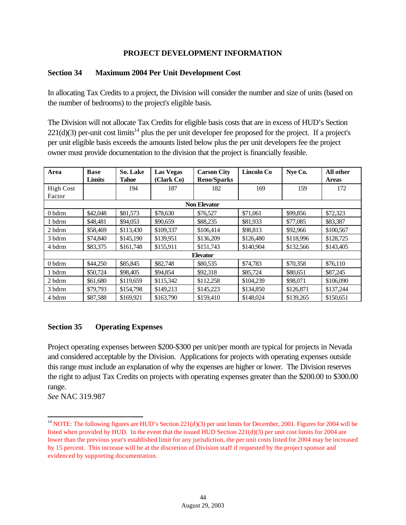## **PROJECT DEVELOPMENT INFORMATION**

#### **Section 34 Maximum 2004 Per Unit Development Cost**

In allocating Tax Credits to a project, the Division will consider the number and size of units (based on the number of bedrooms) to the project's eligible basis.

The Division will not allocate Tax Credits for eligible basis costs that are in excess of HUD's Section  $221(d)(3)$  per-unit cost limits<sup>14</sup> plus the per unit developer fee proposed for the project. If a project's per unit eligible basis exceeds the amounts listed below plus the per unit developers fee the project owner must provide documentation to the division that the project is financially feasible.

| Area             | <b>Base</b> | So. Lake     | <b>Las Vegas</b> | <b>Carson City</b>  | <b>Lincoln Co</b> | Nye Co.   | All other    |
|------------------|-------------|--------------|------------------|---------------------|-------------------|-----------|--------------|
|                  | Limits      | <b>Tahoe</b> | (Clark Co)       | <b>Reno/Sparks</b>  |                   |           | <b>Areas</b> |
| <b>High Cost</b> |             | 194          | 187              | 182                 | 169               | 159       | 172          |
| Factor           |             |              |                  |                     |                   |           |              |
|                  |             |              |                  | <b>Non Elevator</b> |                   |           |              |
| 0 bdrm           | \$42,048    | \$81,573     | \$78,630         | \$76,527            | \$71,061          | \$99,856  | \$72,323     |
| 1 bdrm           | \$48,481    | \$94,053     | \$90,659         | \$88,235            | \$81,933          | \$77,085  | \$83,387     |
| 2 bdrm           | \$58,469    | \$113,430    | \$109,337        | \$106,414           | \$98,813          | \$92,966  | \$100,567    |
| 3 bdrm           | \$74,840    | \$145,190    | \$139,951        | \$136,209           | \$126,480         | \$118,996 | \$128,725    |
| 4 bdrm           | \$83,375    | \$161,748    | \$155,911        | \$151,743           | \$140,904         | \$132,566 | \$143,405    |
| <b>Elevator</b>  |             |              |                  |                     |                   |           |              |
| 0 bdrm           | \$44,250    | \$85,845     | \$82,748         | \$80,535            | \$74,783          | \$70,358  | \$76,110     |
| 1 bdrm           | \$50,724    | \$98,405     | \$94,854         | \$92,318            | \$85,724          | \$80,651  | \$87,245     |
| 2 bdrm           | \$61,680    | \$119,659    | \$115,342        | \$112,258           | \$104,239         | \$98,071  | \$106,090    |
| 3 bdrm           | \$79,793    | \$154,798    | \$149,213        | \$145,223           | \$134,850         | \$126,871 | \$137,244    |
| 4 bdrm           | \$87,588    | \$169,921    | \$163,790        | \$159,410           | \$148,024         | \$139,265 | \$150,651    |

#### **Section 35 Operating Expenses**

Project operating expenses between \$200-\$300 per unit/per month are typical for projects in Nevada and considered acceptable by the Division. Applications for projects with operating expenses outside this range must include an explanation of why the expenses are higher or lower. The Division reserves the right to adjust Tax Credits on projects with operating expenses greater than the \$200.00 to \$300.00 range.

*See* NAC 319.987

l

<sup>&</sup>lt;sup>14</sup> NOTE: The following figures are HUD's Section  $221(d)(3)$  per unit limits for December, 2001. Figures for 2004 will be listed when provided by HUD. In the event that the issued HUD Section 221(d)(3) per unit cost limits for 2004 are lower than the previous year's established limit for any jurisdiction, the per unit costs listed for 2004 may be increased by 15 percent. This increase will be at the discretion of Division staff if requested by the project sponsor and evidenced by supporting documentation.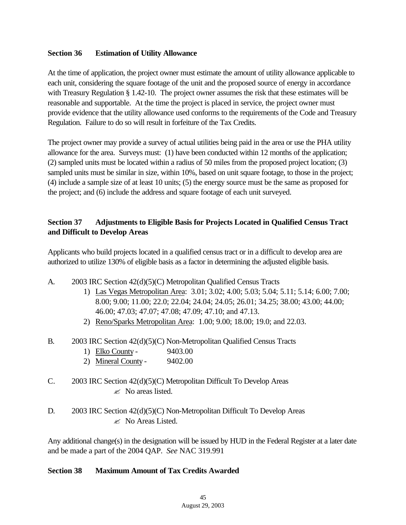#### **Section 36 Estimation of Utility Allowance**

At the time of application, the project owner must estimate the amount of utility allowance applicable to each unit, considering the square footage of the unit and the proposed source of energy in accordance with Treasury Regulation § 1.42-10. The project owner assumes the risk that these estimates will be reasonable and supportable. At the time the project is placed in service, the project owner must provide evidence that the utility allowance used conforms to the requirements of the Code and Treasury Regulation. Failure to do so will result in forfeiture of the Tax Credits.

The project owner may provide a survey of actual utilities being paid in the area or use the PHA utility allowance for the area. Surveys must: (1) have been conducted within 12 months of the application; (2) sampled units must be located within a radius of 50 miles from the proposed project location; (3) sampled units must be similar in size, within 10%, based on unit square footage, to those in the project; (4) include a sample size of at least 10 units; (5) the energy source must be the same as proposed for the project; and (6) include the address and square footage of each unit surveyed.

# **Section 37 Adjustments to Eligible Basis for Projects Located in Qualified Census Tract and Difficult to Develop Areas**

Applicants who build projects located in a qualified census tract or in a difficult to develop area are authorized to utilize 130% of eligible basis as a factor in determining the adjusted eligible basis.

- A. 2003 IRC Section 42(d)(5)(C) Metropolitan Qualified Census Tracts
	- 1) Las Vegas Metropolitan Area: 3.01; 3.02; 4.00; 5.03; 5.04; 5.11; 5.14; 6.00; 7.00; 8.00; 9.00; 11.00; 22.0; 22.04; 24.04; 24.05; 26.01; 34.25; 38.00; 43.00; 44.00; 46.00; 47.03; 47.07; 47.08; 47.09; 47.10; and 47.13.
	- 2) Reno/Sparks Metropolitan Area: 1.00; 9.00; 18.00; 19.0; and 22.03.
- B. 2003 IRC Section 42(d)(5)(C) Non-Metropolitan Qualified Census Tracts
	- 1) Elko County 9403.00
	- 2) Mineral County 9402.00
- C. 2003 IRC Section 42(d)(5)(C) Metropolitan Difficult To Develop Areas  $\mathscr{\mathscr{L}}$  No areas listed.
- D. 2003 IRC Section 42(d)(5)(C) Non-Metropolitan Difficult To Develop Areas  $\approx$  No Areas Listed.

Any additional change(s) in the designation will be issued by HUD in the Federal Register at a later date and be made a part of the 2004 QAP. *See* NAC 319.991

#### **Section 38 Maximum Amount of Tax Credits Awarded**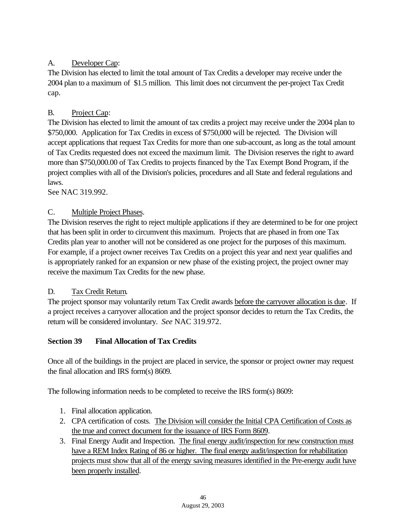# A. Developer Cap:

The Division has elected to limit the total amount of Tax Credits a developer may receive under the 2004 plan to a maximum of \$1.5 million. This limit does not circumvent the per-project Tax Credit cap.

# B. Project Cap:

The Division has elected to limit the amount of tax credits a project may receive under the 2004 plan to \$750,000. Application for Tax Credits in excess of \$750,000 will be rejected. The Division will accept applications that request Tax Credits for more than one sub-account, as long as the total amount of Tax Credits requested does not exceed the maximum limit. The Division reserves the right to award more than \$750,000.00 of Tax Credits to projects financed by the Tax Exempt Bond Program, if the project complies with all of the Division's policies, procedures and all State and federal regulations and laws.

See NAC 319.992.

# C. Multiple Project Phases.

The Division reserves the right to reject multiple applications if they are determined to be for one project that has been split in order to circumvent this maximum. Projects that are phased in from one Tax Credits plan year to another will not be considered as one project for the purposes of this maximum. For example, if a project owner receives Tax Credits on a project this year and next year qualifies and is appropriately ranked for an expansion or new phase of the existing project, the project owner may receive the maximum Tax Credits for the new phase.

#### D. Tax Credit Return.

The project sponsor may voluntarily return Tax Credit awards before the carryover allocation is due. If a project receives a carryover allocation and the project sponsor decides to return the Tax Credits, the return will be considered involuntary. *See* NAC 319.972.

# **Section 39 Final Allocation of Tax Credits**

Once all of the buildings in the project are placed in service, the sponsor or project owner may request the final allocation and IRS form(s) 8609.

The following information needs to be completed to receive the IRS form(s) 8609:

- 1. Final allocation application.
- 2. CPA certification of costs. The Division will consider the Initial CPA Certification of Costs as the true and correct document for the issuance of IRS Form 8609.
- 3. Final Energy Audit and Inspection. The final energy audit/inspection for new construction must have a REM Index Rating of 86 or higher. The final energy audit/inspection for rehabilitation projects must show that all of the energy saving measures identified in the Pre-energy audit have been properly installed.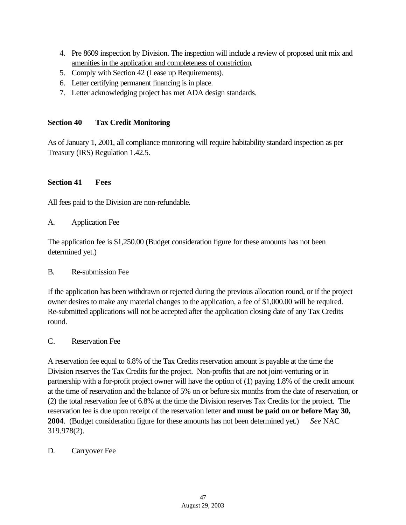- 4. Pre 8609 inspection by Division. The inspection will include a review of proposed unit mix and amenities in the application and completeness of constriction.
- 5. Comply with Section 42 (Lease up Requirements).
- 6. Letter certifying permanent financing is in place.
- 7. Letter acknowledging project has met ADA design standards.

#### **Section 40 Tax Credit Monitoring**

As of January 1, 2001, all compliance monitoring will require habitability standard inspection as per Treasury (IRS) Regulation 1.42.5.

#### **Section 41 Fees**

All fees paid to the Division are non-refundable.

A. Application Fee

The application fee is \$1,250.00 (Budget consideration figure for these amounts has not been determined yet.)

#### B. Re-submission Fee

If the application has been withdrawn or rejected during the previous allocation round, or if the project owner desires to make any material changes to the application, a fee of \$1,000.00 will be required. Re-submitted applications will not be accepted after the application closing date of any Tax Credits round.

#### C. Reservation Fee

A reservation fee equal to 6.8% of the Tax Credits reservation amount is payable at the time the Division reserves the Tax Credits for the project. Non-profits that are not joint-venturing or in partnership with a for-profit project owner will have the option of (1) paying 1.8% of the credit amount at the time of reservation and the balance of 5% on or before six months from the date of reservation, or (2) the total reservation fee of 6.8% at the time the Division reserves Tax Credits for the project. The reservation fee is due upon receipt of the reservation letter **and must be paid on or before May 30, 2004**. (Budget consideration figure for these amounts has not been determined yet.) *See* NAC 319.978(2).

#### D. Carryover Fee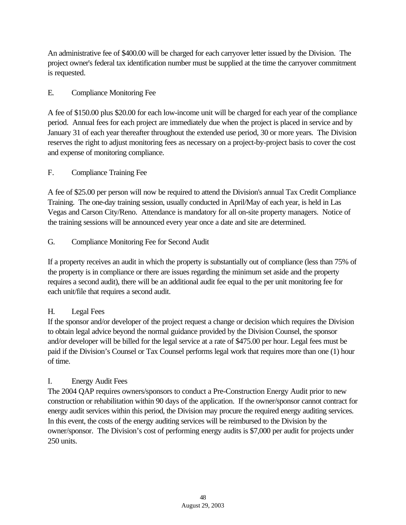An administrative fee of \$400.00 will be charged for each carryover letter issued by the Division. The project owner's federal tax identification number must be supplied at the time the carryover commitment is requested.

# E. Compliance Monitoring Fee

A fee of \$150.00 plus \$20.00 for each low-income unit will be charged for each year of the compliance period. Annual fees for each project are immediately due when the project is placed in service and by January 31 of each year thereafter throughout the extended use period, 30 or more years. The Division reserves the right to adjust monitoring fees as necessary on a project-by-project basis to cover the cost and expense of monitoring compliance.

#### F. Compliance Training Fee

A fee of \$25.00 per person will now be required to attend the Division's annual Tax Credit Compliance Training. The one-day training session, usually conducted in April/May of each year, is held in Las Vegas and Carson City/Reno. Attendance is mandatory for all on-site property managers. Notice of the training sessions will be announced every year once a date and site are determined.

#### G. Compliance Monitoring Fee for Second Audit

If a property receives an audit in which the property is substantially out of compliance (less than 75% of the property is in compliance or there are issues regarding the minimum set aside and the property requires a second audit), there will be an additional audit fee equal to the per unit monitoring fee for each unit/file that requires a second audit.

#### H. Legal Fees

If the sponsor and/or developer of the project request a change or decision which requires the Division to obtain legal advice beyond the normal guidance provided by the Division Counsel, the sponsor and/or developer will be billed for the legal service at a rate of \$475.00 per hour. Legal fees must be paid if the Division's Counsel or Tax Counsel performs legal work that requires more than one (1) hour of time.

#### I. Energy Audit Fees

The 2004 QAP requires owners/sponsors to conduct a Pre-Construction Energy Audit prior to new construction or rehabilitation within 90 days of the application. If the owner/sponsor cannot contract for energy audit services within this period, the Division may procure the required energy auditing services. In this event, the costs of the energy auditing services will be reimbursed to the Division by the owner/sponsor. The Division's cost of performing energy audits is \$7,000 per audit for projects under 250 units.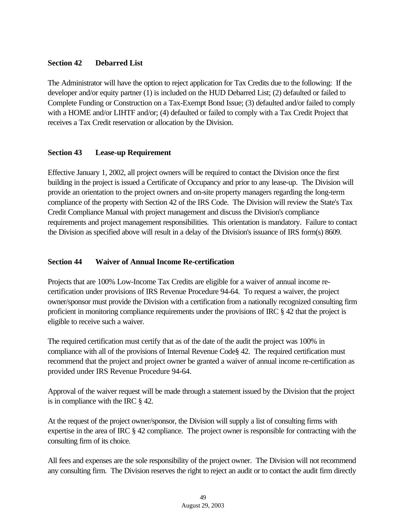## **Section 42 Debarred List**

The Administrator will have the option to reject application for Tax Credits due to the following: If the developer and/or equity partner (1) is included on the HUD Debarred List; (2) defaulted or failed to Complete Funding or Construction on a Tax-Exempt Bond Issue; (3) defaulted and/or failed to comply with a HOME and/or LIHTF and/or; (4) defaulted or failed to comply with a Tax Credit Project that receives a Tax Credit reservation or allocation by the Division.

## **Section 43 Lease-up Requirement**

Effective January 1, 2002, all project owners will be required to contact the Division once the first building in the project is issued a Certificate of Occupancy and prior to any lease-up. The Division will provide an orientation to the project owners and on-site property managers regarding the long-term compliance of the property with Section 42 of the IRS Code. The Division will review the State's Tax Credit Compliance Manual with project management and discuss the Division's compliance requirements and project management responsibilities. This orientation is mandatory. Failure to contact the Division as specified above will result in a delay of the Division's issuance of IRS form(s) 8609.

#### **Section 44 Waiver of Annual Income Re-certification**

Projects that are 100% Low-Income Tax Credits are eligible for a waiver of annual income recertification under provisions of IRS Revenue Procedure 94-64. To request a waiver, the project owner/sponsor must provide the Division with a certification from a nationally recognized consulting firm proficient in monitoring compliance requirements under the provisions of IRC § 42 that the project is eligible to receive such a waiver.

The required certification must certify that as of the date of the audit the project was 100% in compliance with all of the provisions of Internal Revenue Code§ 42. The required certification must recommend that the project and project owner be granted a waiver of annual income re-certification as provided under IRS Revenue Procedure 94-64.

Approval of the waiver request will be made through a statement issued by the Division that the project is in compliance with the IRC § 42.

At the request of the project owner/sponsor, the Division will supply a list of consulting firms with expertise in the area of IRC § 42 compliance. The project owner is responsible for contracting with the consulting firm of its choice.

All fees and expenses are the sole responsibility of the project owner. The Division will not recommend any consulting firm. The Division reserves the right to reject an audit or to contact the audit firm directly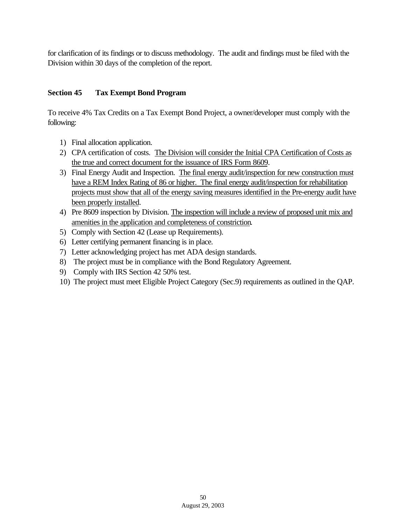for clarification of its findings or to discuss methodology. The audit and findings must be filed with the Division within 30 days of the completion of the report.

# **Section 45 Tax Exempt Bond Program**

To receive 4% Tax Credits on a Tax Exempt Bond Project, a owner/developer must comply with the following:

- 1) Final allocation application.
- 2) CPA certification of costs. The Division will consider the Initial CPA Certification of Costs as the true and correct document for the issuance of IRS Form 8609.
- 3) Final Energy Audit and Inspection. The final energy audit/inspection for new construction must have a REM Index Rating of 86 or higher. The final energy audit/inspection for rehabilitation projects must show that all of the energy saving measures identified in the Pre-energy audit have been properly installed.
- 4) Pre 8609 inspection by Division. The inspection will include a review of proposed unit mix and amenities in the application and completeness of constriction.
- 5) Comply with Section 42 (Lease up Requirements).
- 6) Letter certifying permanent financing is in place.
- 7) Letter acknowledging project has met ADA design standards.
- 8) The project must be in compliance with the Bond Regulatory Agreement.
- 9) Comply with IRS Section 42 50% test.
- 10) The project must meet Eligible Project Category (Sec.9) requirements as outlined in the QAP.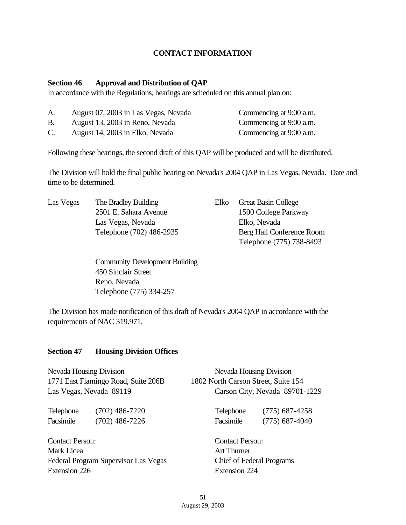#### **CONTACT INFORMATION**

#### **Section 46 Approval and Distribution of QAP**

In accordance with the Regulations, hearings are scheduled on this annual plan on:

| A.             | August 07, 2003 in Las Vegas, Nevada | Commencing at 9:00 a.m. |
|----------------|--------------------------------------|-------------------------|
| <b>B.</b>      | August 13, 2003 in Reno, Nevada      | Commencing at 9:00 a.m. |
| $\mathbf{C}$ . | August 14, 2003 in Elko, Nevada      | Commencing at 9:00 a.m. |

Following these hearings, the second draft of this QAP will be produced and will be distributed.

The Division will hold the final public hearing on Nevada's 2004 QAP in Las Vegas, Nevada. Date and time to be determined.

| Las Vegas | The Bradley Building     | Elko Great Basin College  |
|-----------|--------------------------|---------------------------|
|           | 2501 E. Sahara Avenue    | 1500 College Parkway      |
|           | Las Vegas, Nevada        | Elko, Nevada              |
|           | Telephone (702) 486-2935 | Berg Hall Conference Room |
|           |                          |                           |

Community Development Building 450 Sinclair Street Reno, Nevada Telephone (775) 334-257

Telephone (775) 738-8493

The Division has made notification of this draft of Nevada's 2004 QAP in accordance with the requirements of NAC 319.971.

#### **Section 47 Housing Division Offices**

| Nevada Housing Division                            |                                     | Nevada Housing Division<br>1802 North Carson Street, Suite 154<br>Carson City, Nevada 89701-1229 |                  |               |
|----------------------------------------------------|-------------------------------------|--------------------------------------------------------------------------------------------------|------------------|---------------|
|                                                    | 1771 East Flamingo Road, Suite 206B |                                                                                                  |                  |               |
|                                                    | Las Vegas, Nevada 89119             |                                                                                                  |                  |               |
| Telephone                                          | $(702)$ 486-7220                    | Telephone                                                                                        | $(775)$ 687-4258 |               |
| Facsimile                                          | $(702)$ 486-7226                    | Facsimile                                                                                        | $(775)$ 687-4040 |               |
| <b>Contact Person:</b>                             |                                     | <b>Contact Person:</b>                                                                           |                  |               |
| Mark Licea<br>Federal Program Supervisor Las Vegas |                                     | Art Thurner<br><b>Chief of Federal Programs</b>                                                  |                  |               |
|                                                    |                                     |                                                                                                  |                  | Extension 226 |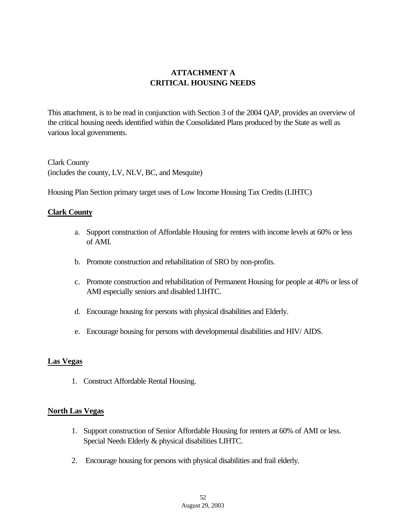# **ATTACHMENT A CRITICAL HOUSING NEEDS**

This attachment, is to be read in conjunction with Section 3 of the 2004 QAP, provides an overview of the critical housing needs identified within the Consolidated Plans produced by the State as well as various local governments.

Clark County (includes the county, LV, NLV, BC, and Mesquite)

Housing Plan Section primary target uses of Low Income Housing Tax Credits (LIHTC)

#### **Clark County**

- a. Support construction of Affordable Housing for renters with income levels at 60% or less of AMI.
- b. Promote construction and rehabilitation of SRO by non-profits.
- c. Promote construction and rehabilitation of Permanent Housing for people at 40% or less of AMI especially seniors and disabled LIHTC.
- d. Encourage housing for persons with physical disabilities and Elderly.
- e. Encourage housing for persons with developmental disabilities and HIV/ AIDS.

#### **Las Vegas**

1. Construct Affordable Rental Housing.

#### **North Las Vegas**

- 1. Support construction of Senior Affordable Housing for renters at 60% of AMI or less. Special Needs Elderly & physical disabilities LIHTC.
- 2. Encourage housing for persons with physical disabilities and frail elderly.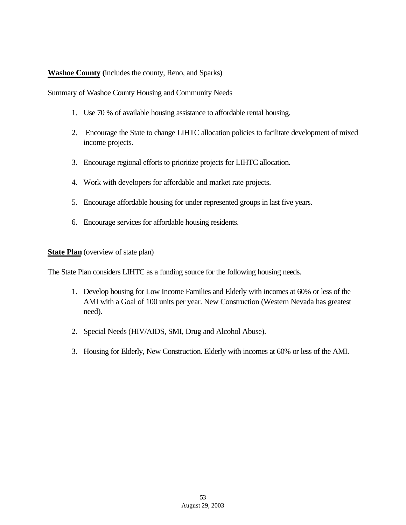#### **Washoe County (**includes the county, Reno, and Sparks)

Summary of Washoe County Housing and Community Needs

- 1. Use 70 % of available housing assistance to affordable rental housing.
- 2. Encourage the State to change LIHTC allocation policies to facilitate development of mixed income projects.
- 3. Encourage regional efforts to prioritize projects for LIHTC allocation.
- 4. Work with developers for affordable and market rate projects.
- 5. Encourage affordable housing for under represented groups in last five years.
- 6. Encourage services for affordable housing residents.

**State Plan** (overview of state plan)

The State Plan considers LIHTC as a funding source for the following housing needs.

- 1. Develop housing for Low Income Families and Elderly with incomes at 60% or less of the AMI with a Goal of 100 units per year. New Construction (Western Nevada has greatest need).
- 2. Special Needs (HIV/AIDS, SMI, Drug and Alcohol Abuse).
- 3. Housing for Elderly, New Construction. Elderly with incomes at 60% or less of the AMI.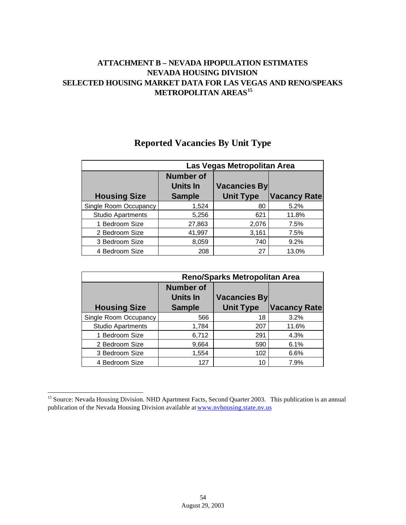# **ATTACHMENT B – NEVADA HPOPULATION ESTIMATES NEVADA HOUSING DIVISION SELECTED HOUSING MARKET DATA FOR LAS VEGAS AND RENO/SPEAKS METROPOLITAN AREAS<sup>15</sup>**

|                          | Las Vegas Metropolitan Area                   |                                         |                     |
|--------------------------|-----------------------------------------------|-----------------------------------------|---------------------|
| <b>Housing Size</b>      | <b>Number of</b><br>Units In<br><b>Sample</b> | <b>Vacancies By</b><br><b>Unit Type</b> | <b>Vacancy Rate</b> |
| Single Room Occupancy    | 1,524                                         | 80                                      | 5.2%                |
| <b>Studio Apartments</b> | 5,256                                         | 621                                     | 11.8%               |
| 1 Bedroom Size           | 27,863                                        | 2,076                                   | 7.5%                |
| 2 Bedroom Size           | 41,997                                        | 3,161                                   | 7.5%                |
| 3 Bedroom Size           | 8,059                                         | 740                                     | 9.2%                |
| 4 Bedroom Size           | 208                                           | 27                                      | 13.0%               |

# **Reported Vacancies By Unit Type**

|                          | <b>Reno/Sparks Metropolitan Area</b>                 |                                         |                     |
|--------------------------|------------------------------------------------------|-----------------------------------------|---------------------|
| <b>Housing Size</b>      | <b>Number of</b><br><b>Units In</b><br><b>Sample</b> | <b>Vacancies By</b><br><b>Unit Type</b> | <b>Vacancy Rate</b> |
| Single Room Occupancy    | 566                                                  | 18                                      | 3.2%                |
| <b>Studio Apartments</b> | 1,784                                                | 207                                     | 11.6%               |
| 1 Bedroom Size           | 6,712                                                | 291                                     | 4.3%                |
| 2 Bedroom Size           | 9,664                                                | 590                                     | 6.1%                |
| 3 Bedroom Size           | 1,554                                                | 102                                     | 6.6%                |
| 4 Bedroom Size           | 127                                                  | 10                                      | 7.9%                |

l

<sup>&</sup>lt;sup>15</sup> Source: Nevada Housing Division. NHD Apartment Facts, Second Quarter 2003. This publication is an annual publication of the Nevada Housing Division available at www.nvhousing.state.nv.us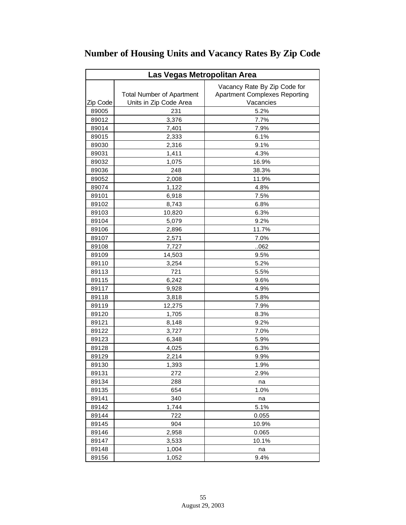| Las Vegas Metropolitan Area |                                  |                                      |  |
|-----------------------------|----------------------------------|--------------------------------------|--|
|                             |                                  | Vacancy Rate By Zip Code for         |  |
|                             | <b>Total Number of Apartment</b> | <b>Apartment Complexes Reporting</b> |  |
| Zip Code                    | Units in Zip Code Area           | Vacancies                            |  |
| 89005                       | 231                              | 5.2%                                 |  |
| 89012                       | 3,376                            | 7.7%                                 |  |
| 89014                       | 7,401                            | 7.9%                                 |  |
| 89015                       | 2,333                            | 6.1%                                 |  |
| 89030                       | 2,316                            | 9.1%                                 |  |
| 89031                       | 1,411                            | 4.3%                                 |  |
| 89032                       | 1,075                            | 16.9%                                |  |
| 89036                       | 248                              | 38.3%                                |  |
| 89052                       | 2,008                            | 11.9%                                |  |
| 89074                       | 1,122                            | 4.8%                                 |  |
| 89101                       | 6,918                            | 7.5%                                 |  |
| 89102                       | 8,743                            | 6.8%                                 |  |
| 89103                       | 10,820                           | 6.3%                                 |  |
| 89104                       | 5,079                            | 9.2%                                 |  |
| 89106                       | 2,896                            | 11.7%                                |  |
| 89107                       | 2,571                            | 7.0%                                 |  |
| 89108                       | 7,727                            | .062                                 |  |
| 89109                       | 14,503                           | 9.5%                                 |  |
| 89110                       | 3,254                            | 5.2%                                 |  |
| 89113                       | 721                              | 5.5%                                 |  |
| 89115                       | 6,242                            | 9.6%                                 |  |
| 89117                       | 9,928                            | 4.9%                                 |  |
| 89118                       | 3,818                            | 5.8%                                 |  |
| 89119                       | 12,275                           | 7.9%                                 |  |
| 89120                       | 1,705                            | 8.3%                                 |  |
| 89121                       | 8,148                            | 9.2%                                 |  |
| 89122                       | 3,727                            | 7.0%                                 |  |
| 89123                       | 6,348                            | 5.9%                                 |  |
| 89128                       | 4,025                            | 6.3%                                 |  |
| 89129                       | 2,214                            | 9.9%                                 |  |
| 89130                       | 1,393                            | 1.9%                                 |  |
| 89131                       | 272                              | 2.9%                                 |  |
| 89134                       | 288                              | na                                   |  |
| 89135                       | 654                              | 1.0%                                 |  |
| 89141                       | 340                              | na                                   |  |
| 89142                       | 1,744                            | 5.1%                                 |  |
| 89144                       | 722                              | 0.055                                |  |
| 89145                       | 904                              | 10.9%                                |  |
| 89146                       | 2,958                            | 0.065                                |  |
| 89147                       | 3,533                            | 10.1%                                |  |
| 89148                       | 1,004                            | na                                   |  |
| 89156                       | 1,052                            | 9.4%                                 |  |

# **Number of Housing Units and Vacancy Rates By Zip Code**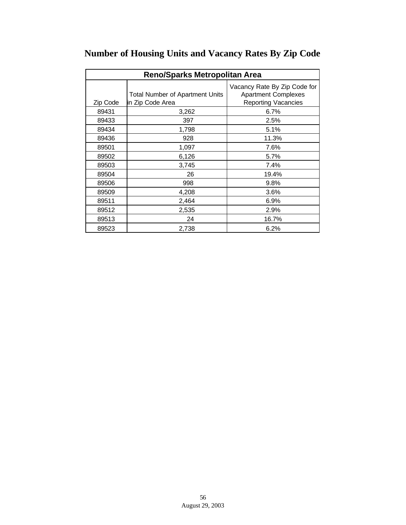| <b>Reno/Sparks Metropolitan Area</b> |                                        |                                                            |  |
|--------------------------------------|----------------------------------------|------------------------------------------------------------|--|
|                                      | <b>Total Number of Apartment Units</b> | Vacancy Rate By Zip Code for<br><b>Apartment Complexes</b> |  |
| Zip Code                             | in Zip Code Area                       | <b>Reporting Vacancies</b>                                 |  |
| 89431                                | 3,262                                  | 6.7%                                                       |  |
| 89433                                | 397                                    | 2.5%                                                       |  |
| 89434                                | 1,798                                  | 5.1%                                                       |  |
| 89436                                | 928                                    | 11.3%                                                      |  |
| 89501                                | 1,097                                  | 7.6%                                                       |  |
| 89502                                | 6,126                                  | 5.7%                                                       |  |
| 89503                                | 3,745                                  | 7.4%                                                       |  |
| 89504                                | 26                                     | 19.4%                                                      |  |
| 89506                                | 998                                    | 9.8%                                                       |  |
| 89509                                | 4,208                                  | 3.6%                                                       |  |
| 89511                                | 2,464                                  | 6.9%                                                       |  |
| 89512                                | 2,535                                  | 2.9%                                                       |  |
| 89513                                | 24                                     | 16.7%                                                      |  |
| 89523                                | 2,738                                  | 6.2%                                                       |  |

# **Number of Housing Units and Vacancy Rates By Zip Code**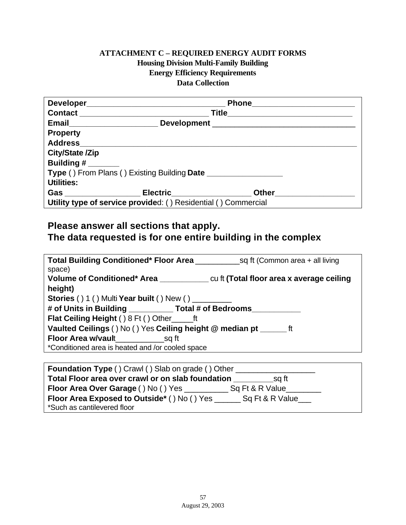# **ATTACHMENT C – REQUIRED ENERGY AUDIT FORMS Housing Division Multi-Family Building Energy Efficiency Requirements Data Collection**

|                        | Email______________________________Development _________________________________ |  |
|------------------------|----------------------------------------------------------------------------------|--|
| <b>Property</b>        |                                                                                  |  |
|                        |                                                                                  |  |
| <b>City/State /Zip</b> |                                                                                  |  |
| Building $#$ ________  |                                                                                  |  |
|                        | <b>Type () From Plans () Existing Building Date</b>                              |  |
| Utilities:             |                                                                                  |  |
|                        | Gas ______________________Electric_______________________Other__________________ |  |
|                        | Utility type of service provided: () Residential () Commercial                   |  |

# **Please answer all sections that apply. The data requested is for one entire building in the complex**

| <b>Total Building Conditioned* Floor Area</b> sq ft (Common area + all living<br>space) |  |
|-----------------------------------------------------------------------------------------|--|
|                                                                                         |  |
| height)                                                                                 |  |
| <b>Stories () 1 () Multi Year built () New ()</b>                                       |  |
| # of Units in Building ____________ Total # of Bedrooms________                         |  |
| Flat Ceiling Height () 8 Ft () Other ft                                                 |  |
| Vaulted Ceilings () No () Yes Ceiling height @ median pt ________ ft                    |  |
|                                                                                         |  |
| *Conditioned area is heated and /or cooled space                                        |  |
|                                                                                         |  |

| <b>Foundation Type ()</b> Crawl () Slab on grade () Other             |  |
|-----------------------------------------------------------------------|--|
| Total Floor area over crawl or on slab foundation<br>sq ft            |  |
| Floor Area Over Garage () No () Yes<br>Sq Ft & R Value                |  |
| Sq Ft & R Value<br><b>Floor Area Exposed to Outside* () No () Yes</b> |  |
| *Such as cantilevered floor                                           |  |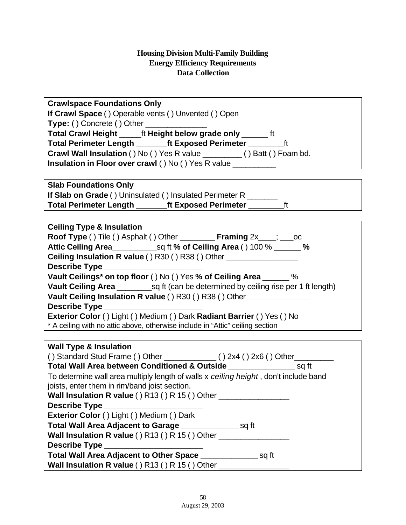| <b>Crawlspace Foundations Only</b>                                                     |
|----------------------------------------------------------------------------------------|
| If Crawl Space () Operable vents () Unvented () Open                                   |
| <b>Type: ()</b> Concrete () Other ________________                                     |
| Total Crawl Height ______ ft Height below grade only _______ ft                        |
| Total Perimeter Length ______ft Exposed Perimeter _________ft                          |
| Crawl Wall Insulation () No () Yes R value _________ () Batt () Foam bd.               |
| Insulation in Floor over crawl () No () Yes R value __________                         |
|                                                                                        |
| <b>Slab Foundations Only</b>                                                           |
| If Slab on Grade () Uninsulated () Insulated Perimeter R _______                       |
| ft<br>Total Perimeter Length _______ft Exposed Perimeter _______                       |
|                                                                                        |
| <b>Ceiling Type &amp; Insulation</b>                                                   |
| Roof Type () Tile () Asphalt () Other _________ Framing 2x___; ___ oc                  |
|                                                                                        |
| <b>Ceiling Insulation R value () R30 () R38 () Other _____________________________</b> |
| Describe Type _______________________                                                  |
| Vault Ceilings* on top floor () No () Yes % of Ceiling Area ______ %                   |
|                                                                                        |
| Vault Ceiling Insulation R value () R30 () R38 () Other ________________               |
| Describe Type ________________________                                                 |
| Exterior Color () Light () Medium () Dark Radiant Barrier () Yes () No                 |
| * A ceiling with no attic above, otherwise include in "Attic" ceiling section          |
|                                                                                        |
| <b>Wall Type &amp; Insulation</b>                                                      |
| () Standard Stud Frame () Other $\_{\_}$ () 2x4 () 2x6 () Other $\_{\_}$               |
| Total Wall Area between Conditioned & Outside                                          |
| To determine wall area multiply length of walls x ceiling height, don't include band   |
| joists, enter them in rim/band joist section.                                          |
| Wall Insulation R value () R13 () R 15 () Other ________________                       |
| Describe Type                                                                          |
| Exterior Color () Light () Medium () Dark                                              |
| Total Wall Area Adjacent to Garage ________________________ sq ft                      |
| Wall Insulation R value () R13 () R 15 () Other ________________________________       |
| Describe Type                                                                          |
| Total Wall Area Adjacent to Other Space _______________________ sq ft                  |
| Wall Insulation R value () R13 () R 15 () Other ________________________________       |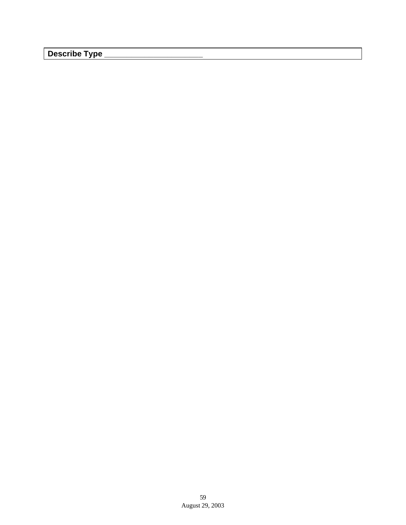**Describe Type \_\_\_\_\_\_\_\_\_\_\_\_\_\_\_\_\_\_\_\_\_\_**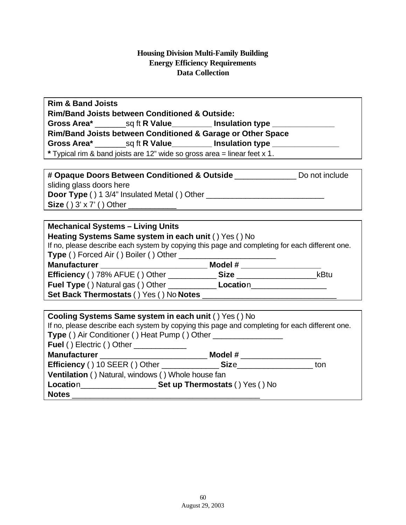| <b>Rim &amp; Band Joists</b> |                                                           |                                                                                  |  |
|------------------------------|-----------------------------------------------------------|----------------------------------------------------------------------------------|--|
|                              | <b>Rim/Band Joists between Conditioned &amp; Outside:</b> |                                                                                  |  |
|                              |                                                           |                                                                                  |  |
|                              |                                                           | Rim/Band Joists between Conditioned & Garage or Other Space                      |  |
|                              |                                                           | Gross Area* _________ sq ft R Value ___________ Insulation type ________________ |  |
|                              |                                                           | * Typical rim & band joists are 12" wide so gross area = linear feet x 1.        |  |

| # Opaque Doors Between Conditioned & Outside        | Do not include |
|-----------------------------------------------------|----------------|
| sliding glass doors here                            |                |
| <b>Door Type () 1 3/4" Insulated Metal () Other</b> |                |
| Size () $3' \times 7'$ () Other                     |                |

# **Mechanical Systems – Living Units**

| Heating Systems Same system in each unit () Yes () No<br>If no, please describe each system by copying this page and completing for each different one. |                   |      |  |
|---------------------------------------------------------------------------------------------------------------------------------------------------------|-------------------|------|--|
| Type () Forced Air () Boiler () Other ____                                                                                                              |                   |      |  |
| Manufacturer ______________________                                                                                                                     | Model #           |      |  |
| <b>Efficiency () 78% AFUE () Other __________</b>                                                                                                       | Size ____________ | kBtu |  |
| <b>Fuel Type ()</b> Natural gas () Other                                                                                                                | Location          |      |  |
| Set Back Thermostats () Yes () No Notes                                                                                                                 |                   |      |  |

| Cooling Systems Same system in each unit () Yes () No<br>If no, please describe each system by copying this page and completing for each different one.<br>Type () Air Conditioner () Heat Pump () Other __________________________________ |                       |     |  |
|---------------------------------------------------------------------------------------------------------------------------------------------------------------------------------------------------------------------------------------------|-----------------------|-----|--|
| <b>Fuel () Electric () Other</b> ______________                                                                                                                                                                                             |                       |     |  |
|                                                                                                                                                                                                                                             | Model # _____________ |     |  |
|                                                                                                                                                                                                                                             |                       | ton |  |
| Ventilation () Natural, windows () Whole house fan                                                                                                                                                                                          |                       |     |  |
|                                                                                                                                                                                                                                             |                       |     |  |
| <b>Notes</b>                                                                                                                                                                                                                                |                       |     |  |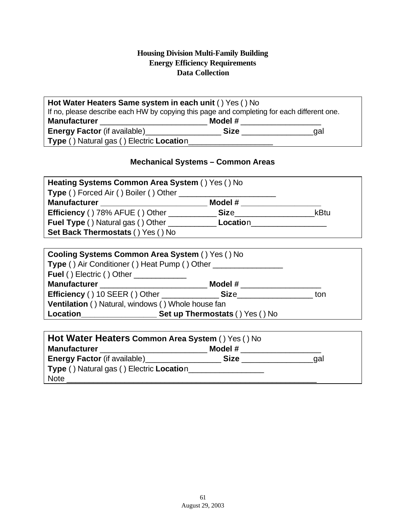| Hot Water Heaters Same system in each unit () Yes () No                                    |             |     |  |
|--------------------------------------------------------------------------------------------|-------------|-----|--|
| If no, please describe each HW by copying this page and completing for each different one. |             |     |  |
| <b>Manufacturer</b>                                                                        | Model #     |     |  |
| <b>Energy Factor</b> (if available)                                                        | <b>Size</b> | aal |  |
| Type () Natural gas () Electric Location                                                   |             |     |  |

# **Mechanical Systems – Common Areas**

| Heating Systems Common Area System () Yes () No |             |      |  |
|-------------------------------------------------|-------------|------|--|
| Type () Forced Air () Boiler () Other           |             |      |  |
| <b>Manufacturer</b>                             | Model #     |      |  |
| <b>Efficiency () 78% AFUE () Other</b>          | <b>Size</b> | kBtu |  |
| <b>Fuel Type () Natural gas () Other</b>        | Location    |      |  |
| Set Back Thermostats () Yes () No               |             |      |  |

| <b>Cooling Systems Common Area System () Yes () No</b>       |         |     |
|--------------------------------------------------------------|---------|-----|
| <b>Type ()</b> Air Conditioner () Heat Pump () Other         |         |     |
| <b>Fuel ()</b> Electric () Other                             |         |     |
| Manufacturer _________________________                       | Model # |     |
|                                                              |         | ton |
| Ventilation () Natural, windows () Whole house fan           |         |     |
| Location_________________<br>Set up Thermostats () Yes () No |         |     |

| Hot Water Heaters Common Area System () Yes () No |             |     |  |
|---------------------------------------------------|-------------|-----|--|
| <b>Manufacturer</b>                               | Model #     |     |  |
| <b>Energy Factor</b> (if available)               | <b>Size</b> | aal |  |
| Type () Natural gas () Electric Location          |             |     |  |
| <b>Note</b>                                       |             |     |  |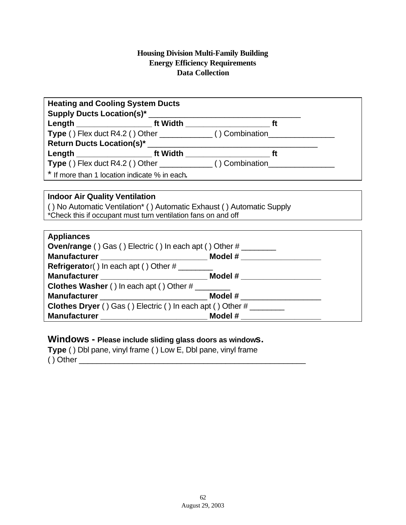| <b>Heating and Cooling System Ducts</b>                                                 |                                                                                  |  |
|-----------------------------------------------------------------------------------------|----------------------------------------------------------------------------------|--|
|                                                                                         |                                                                                  |  |
|                                                                                         |                                                                                  |  |
|                                                                                         | Type () Flex duct R4.2 () Other ______________ () Combination___________________ |  |
|                                                                                         |                                                                                  |  |
|                                                                                         |                                                                                  |  |
|                                                                                         | Type () Flex duct R4.2 () Other _____________() Combination_____________________ |  |
| * If more than 1 location indicate % in each.                                           |                                                                                  |  |
|                                                                                         |                                                                                  |  |
| <b>Indoor Air Quality Ventilation</b>                                                   |                                                                                  |  |
| () No Automatic Ventilation* () Automatic Exhaust () Automatic Supply                   |                                                                                  |  |
| *Check this if occupant must turn ventilation fans on and off                           |                                                                                  |  |
|                                                                                         |                                                                                  |  |
| <b>Appliances</b>                                                                       |                                                                                  |  |
| <b>Oven/range</b> () Gas () Electric () In each apt () Other $\#$ _____________________ |                                                                                  |  |
|                                                                                         |                                                                                  |  |
| $Refrigerator()$ In each apt () Other $\#$ _________                                    |                                                                                  |  |
|                                                                                         |                                                                                  |  |
| Clothes Washer () In each apt () Other #                                                |                                                                                  |  |
|                                                                                         |                                                                                  |  |
| <b>Clothes Dryer</b> () Gas () Electric () In each apt () Other $\#$ __________________ |                                                                                  |  |
|                                                                                         |                                                                                  |  |

# **Windows - Please include sliding glass doors as windows.**

**Type** ( ) Dbl pane, vinyl frame ( ) Low E, Dbl pane, vinyl frame ( ) Other \_\_\_\_\_\_\_\_\_\_\_\_\_\_\_\_\_\_\_\_\_\_\_\_\_\_\_\_\_\_\_\_\_\_\_\_\_\_\_\_\_\_\_\_\_\_\_\_\_\_\_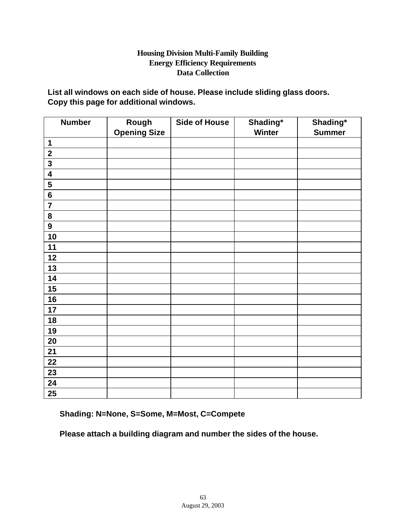**List all windows on each side of house. Please include sliding glass doors. Copy this page for additional windows.**

| <b>Number</b>           | Rough<br><b>Opening Size</b> | <b>Side of House</b> | Shading*<br><b>Winter</b> | Shading*<br><b>Summer</b> |
|-------------------------|------------------------------|----------------------|---------------------------|---------------------------|
| $\mathbf 1$             |                              |                      |                           |                           |
| $\mathbf 2$             |                              |                      |                           |                           |
| $\overline{\mathbf{3}}$ |                              |                      |                           |                           |
| $\overline{\mathbf{4}}$ |                              |                      |                           |                           |
| $\overline{\mathbf{5}}$ |                              |                      |                           |                           |
| $6\phantom{a}$          |                              |                      |                           |                           |
| $\overline{7}$          |                              |                      |                           |                           |
| 8                       |                              |                      |                           |                           |
| $\boldsymbol{9}$        |                              |                      |                           |                           |
| 10                      |                              |                      |                           |                           |
| 11                      |                              |                      |                           |                           |
| 12                      |                              |                      |                           |                           |
| 13                      |                              |                      |                           |                           |
| 14                      |                              |                      |                           |                           |
| 15                      |                              |                      |                           |                           |
| 16                      |                              |                      |                           |                           |
| 17                      |                              |                      |                           |                           |
| 18                      |                              |                      |                           |                           |
| 19                      |                              |                      |                           |                           |
| 20                      |                              |                      |                           |                           |
| 21                      |                              |                      |                           |                           |
| 22                      |                              |                      |                           |                           |
| 23                      |                              |                      |                           |                           |
| 24                      |                              |                      |                           |                           |
| 25                      |                              |                      |                           |                           |

**Shading: N=None, S=Some, M=Most, C=Compete**

**Please attach a building diagram and number the sides of the house.**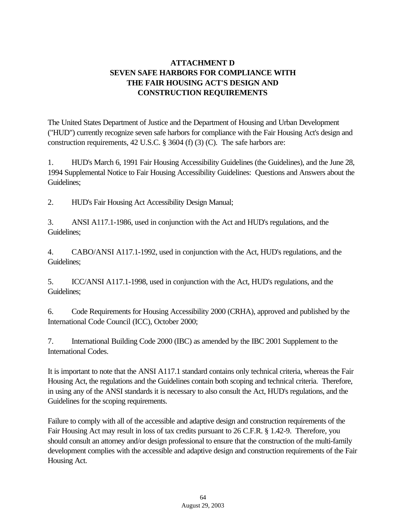# **ATTACHMENT D SEVEN SAFE HARBORS FOR COMPLIANCE WITH THE FAIR HOUSING ACT'S DESIGN AND CONSTRUCTION REQUIREMENTS**

The United States Department of Justice and the Department of Housing and Urban Development ("HUD") currently recognize seven safe harbors for compliance with the Fair Housing Act's design and construction requirements, 42 U.S.C. § 3604 (f) (3) (C). The safe harbors are:

1. HUD's March 6, 1991 Fair Housing Accessibility Guidelines (the Guidelines), and the June 28, 1994 Supplemental Notice to Fair Housing Accessibility Guidelines: Questions and Answers about the Guidelines;

2. HUD's Fair Housing Act Accessibility Design Manual;

3. ANSI A117.1-1986, used in conjunction with the Act and HUD's regulations, and the Guidelines;

4. CABO/ANSI A117.1-1992, used in conjunction with the Act, HUD's regulations, and the Guidelines;

5. ICC/ANSI A117.1-1998, used in conjunction with the Act, HUD's regulations, and the Guidelines;

6. Code Requirements for Housing Accessibility 2000 (CRHA), approved and published by the International Code Council (ICC), October 2000;

7. International Building Code 2000 (IBC) as amended by the IBC 2001 Supplement to the International Codes.

It is important to note that the ANSI A117.1 standard contains only technical criteria, whereas the Fair Housing Act, the regulations and the Guidelines contain both scoping and technical criteria. Therefore, in using any of the ANSI standards it is necessary to also consult the Act, HUD's regulations, and the Guidelines for the scoping requirements.

Failure to comply with all of the accessible and adaptive design and construction requirements of the Fair Housing Act may result in loss of tax credits pursuant to 26 C.F.R. § 1.42-9. Therefore, you should consult an attorney and/or design professional to ensure that the construction of the multi-family development complies with the accessible and adaptive design and construction requirements of the Fair Housing Act.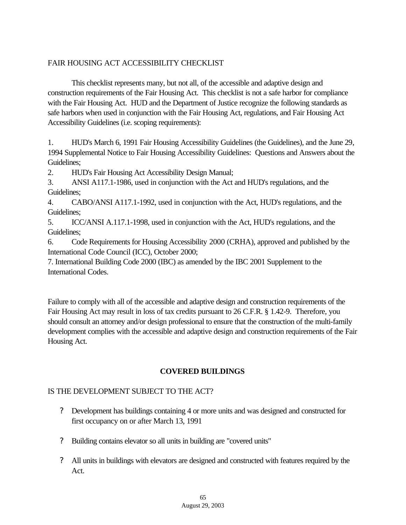#### FAIR HOUSING ACT ACCESSIBILITY CHECKLIST

This checklist represents many, but not all, of the accessible and adaptive design and construction requirements of the Fair Housing Act. This checklist is not a safe harbor for compliance with the Fair Housing Act. HUD and the Department of Justice recognize the following standards as safe harbors when used in conjunction with the Fair Housing Act, regulations, and Fair Housing Act Accessibility Guidelines (i.e. scoping requirements):

1. HUD's March 6, 1991 Fair Housing Accessibility Guidelines (the Guidelines), and the June 29, 1994 Supplemental Notice to Fair Housing Accessibility Guidelines: Questions and Answers about the Guidelines;

2. HUD's Fair Housing Act Accessibility Design Manual;

3. ANSI A117.1-1986, used in conjunction with the Act and HUD's regulations, and the Guidelines;

4. CABO/ANSI A117.1-1992, used in conjunction with the Act, HUD's regulations, and the Guidelines;

5. ICC/ANSI A.117.1-1998, used in conjunction with the Act, HUD's regulations, and the Guidelines;

6. Code Requirements for Housing Accessibility 2000 (CRHA), approved and published by the International Code Council (ICC), October 2000;

7. International Building Code 2000 (IBC) as amended by the IBC 2001 Supplement to the International Codes.

Failure to comply with all of the accessible and adaptive design and construction requirements of the Fair Housing Act may result in loss of tax credits pursuant to 26 C.F.R. § 1.42-9. Therefore, you should consult an attorney and/or design professional to ensure that the construction of the multi-family development complies with the accessible and adaptive design and construction requirements of the Fair Housing Act.

# **COVERED BUILDINGS**

#### IS THE DEVELOPMENT SUBJECT TO THE ACT?

- ? Development has buildings containing 4 or more units and was designed and constructed for first occupancy on or after March 13, 1991
- ? Building contains elevator so all units in building are "covered units"
- ? All units in buildings with elevators are designed and constructed with features required by the Act.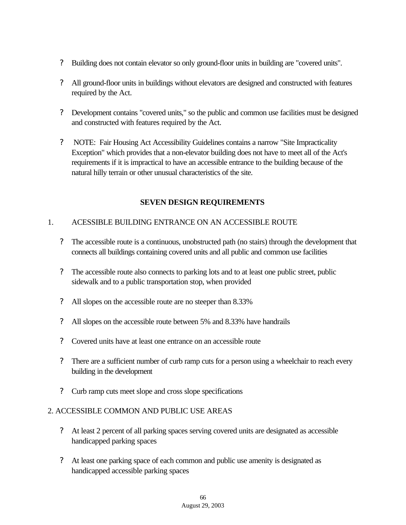- ? Building does not contain elevator so only ground-floor units in building are "covered units".
- ? All ground-floor units in buildings without elevators are designed and constructed with features required by the Act.
- ? Development contains "covered units," so the public and common use facilities must be designed and constructed with features required by the Act.
- ? NOTE: Fair Housing Act Accessibility Guidelines contains a narrow "Site Impracticality Exception" which provides that a non-elevator building does not have to meet all of the Act's requirements if it is impractical to have an accessible entrance to the building because of the natural hilly terrain or other unusual characteristics of the site.

#### **SEVEN DESIGN REQUIREMENTS**

#### 1. ACESSIBLE BUILDING ENTRANCE ON AN ACCESSIBLE ROUTE

- ? The accessible route is a continuous, unobstructed path (no stairs) through the development that connects all buildings containing covered units and all public and common use facilities
- ? The accessible route also connects to parking lots and to at least one public street, public sidewalk and to a public transportation stop, when provided
- ? All slopes on the accessible route are no steeper than 8.33%
- ? All slopes on the accessible route between 5% and 8.33% have handrails
- ? Covered units have at least one entrance on an accessible route
- ? There are a sufficient number of curb ramp cuts for a person using a wheelchair to reach every building in the development
- ? Curb ramp cuts meet slope and cross slope specifications

#### 2. ACCESSIBLE COMMON AND PUBLIC USE AREAS

- ? At least 2 percent of all parking spaces serving covered units are designated as accessible handicapped parking spaces
- ? At least one parking space of each common and public use amenity is designated as handicapped accessible parking spaces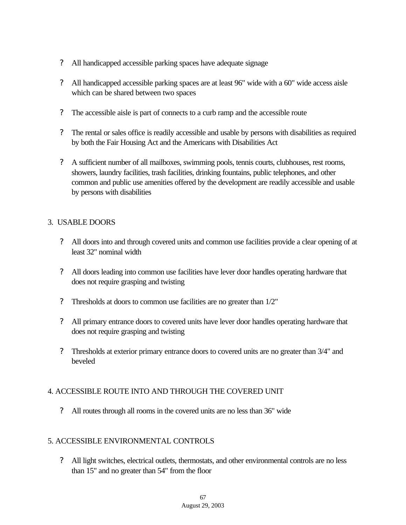- ? All handicapped accessible parking spaces have adequate signage
- ? All handicapped accessible parking spaces are at least 96" wide with a 60" wide access aisle which can be shared between two spaces
- ? The accessible aisle is part of connects to a curb ramp and the accessible route
- ? The rental or sales office is readily accessible and usable by persons with disabilities as required by both the Fair Housing Act and the Americans with Disabilities Act
- ? A sufficient number of all mailboxes, swimming pools, tennis courts, clubhouses, rest rooms, showers, laundry facilities, trash facilities, drinking fountains, public telephones, and other common and public use amenities offered by the development are readily accessible and usable by persons with disabilities

#### 3. USABLE DOORS

- ? All doors into and through covered units and common use facilities provide a clear opening of at least 32" nominal width
- ? All doors leading into common use facilities have lever door handles operating hardware that does not require grasping and twisting
- ? Thresholds at doors to common use facilities are no greater than 1/2"
- ? All primary entrance doors to covered units have lever door handles operating hardware that does not require grasping and twisting
- ? Thresholds at exterior primary entrance doors to covered units are no greater than 3/4" and beveled

#### 4. ACCESSIBLE ROUTE INTO AND THROUGH THE COVERED UNIT

? All routes through all rooms in the covered units are no less than 36" wide

#### 5. ACCESSIBLE ENVIRONMENTAL CONTROLS

? All light switches, electrical outlets, thermostats, and other environmental controls are no less than 15" and no greater than 54" from the floor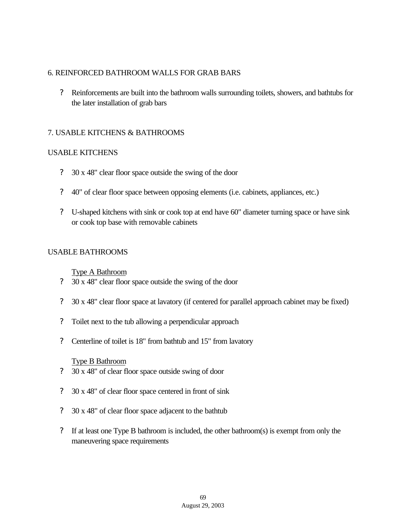## 6. REINFORCED BATHROOM WALLS FOR GRAB BARS

? Reinforcements are built into the bathroom walls surrounding toilets, showers, and bathtubs for the later installation of grab bars

## 7. USABLE KITCHENS & BATHROOMS

## USABLE KITCHENS

- ? 30 x 48" clear floor space outside the swing of the door
- ? 40" of clear floor space between opposing elements (i.e. cabinets, appliances, etc.)
- ? U-shaped kitchens with sink or cook top at end have 60" diameter turning space or have sink or cook top base with removable cabinets

## USABLE BATHROOMS

## Type A Bathroom

- ? 30 x 48" clear floor space outside the swing of the door
- ? 30 x 48" clear floor space at lavatory (if centered for parallel approach cabinet may be fixed)
- ? Toilet next to the tub allowing a perpendicular approach
- ? Centerline of toilet is 18" from bathtub and 15" from lavatory

#### Type B Bathroom

- ? 30 x 48" of clear floor space outside swing of door
- ? 30 x 48" of clear floor space centered in front of sink
- ? 30 x 48" of clear floor space adjacent to the bathtub
- ? If at least one Type B bathroom is included, the other bathroom(s) is exempt from only the maneuvering space requirements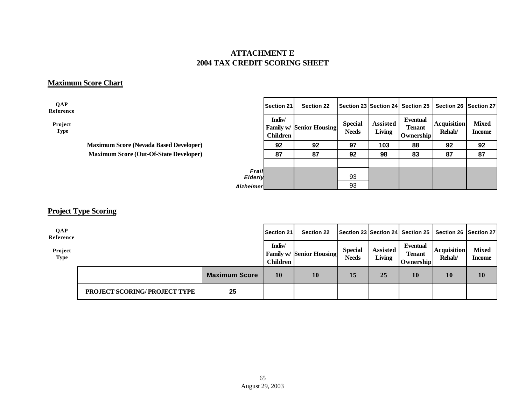## **ATTACHMENT E 2004 TAX CREDIT SCORING SHEET**

## **Maximum Score Chart**

**QAP Reference**

> **Project Type**

> > **Maximum Score (Nevada Based Developer) 92 92 97 103 88 92 92 Maximum Score (Out-Of-State Developer)**

|                  | <b>Section 21</b>         | <b>Section 22</b>               |                                |                                  | Section 23 Section 24 Section 25       | <b>Section 26</b>            | <b>Section 27</b>      |
|------------------|---------------------------|---------------------------------|--------------------------------|----------------------------------|----------------------------------------|------------------------------|------------------------|
|                  | Indiv/<br><b>Children</b> | <b>Family w/ Senior Housing</b> | <b>Special</b><br><b>Needs</b> | <b>Assisted</b><br><b>Living</b> | Eventual<br><b>Tenant</b><br>Ownership | <b>Acquisition</b><br>Rehab/ | <b>Mixed</b><br>Income |
|                  | 92                        | 92                              | 97                             | 103                              | 88                                     | 92                           | 92                     |
|                  | 87                        | 87                              | 92                             | 98                               | 83                                     | 87                           | 87                     |
|                  |                           |                                 |                                |                                  |                                        |                              |                        |
| Frail<br>Elderly |                           |                                 | 93                             |                                  |                                        |                              |                        |
| <b>Alzheimer</b> |                           |                                 | 93                             |                                  |                                        |                              |                        |

## **Project Type Scoring**

| QAP<br>Reference       |                                     |                      | <b>Section 21</b>  | <b>Section 22</b>               |                                |                           |                                        | Section 23 Section 24 Section 25 Section 26 Section 27 |                               |
|------------------------|-------------------------------------|----------------------|--------------------|---------------------------------|--------------------------------|---------------------------|----------------------------------------|--------------------------------------------------------|-------------------------------|
| Project<br><b>Type</b> |                                     |                      | Indiv/<br>Children | <b>Family w/ Senior Housing</b> | <b>Special</b><br><b>Needs</b> | <b>Assisted</b><br>Living | Eventual<br><b>Tenant</b><br>Ownership | <b>Acquisition</b><br>Rehab/                           | <b>Mixed</b><br><b>Income</b> |
|                        |                                     | <b>Maximum Score</b> | 10                 | 10                              | 15                             | 25                        | 10                                     | 10                                                     | 10                            |
|                        | <b>PROJECT SCORING/PROJECT TYPE</b> | 25                   |                    |                                 |                                |                           |                                        |                                                        |                               |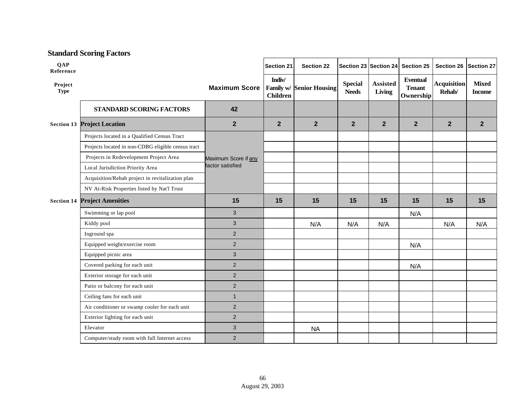## **Standard Scoring Factors**

| <b>QAP</b><br>Reference |                                                    |                                          | <b>Section 21</b>         | <b>Section 22</b>               |                                |                    | Section 23 Section 24 Section 25              | Section 26                   | <b>Section 27</b>             |
|-------------------------|----------------------------------------------------|------------------------------------------|---------------------------|---------------------------------|--------------------------------|--------------------|-----------------------------------------------|------------------------------|-------------------------------|
| Project<br><b>Type</b>  |                                                    | <b>Maximum Score</b>                     | Indiv/<br><b>Children</b> | <b>Family w/ Senior Housing</b> | <b>Special</b><br><b>Needs</b> | Assisted<br>Living | <b>Eventual</b><br><b>Tenant</b><br>Ownership | <b>Acquisition</b><br>Rehab/ | <b>Mixed</b><br><b>Income</b> |
|                         | <b>STANDARD SCORING FACTORS</b>                    | 42                                       |                           |                                 |                                |                    |                                               |                              |                               |
|                         | <b>Section 13 Project Location</b>                 | $\mathbf{2}$                             | $\mathbf{2}$              | $\overline{2}$                  | $\overline{2}$                 | $\overline{2}$     | $\overline{2}$                                | $\overline{2}$               | $\overline{2}$                |
|                         | Projects located in a Qualified Census Tract       |                                          |                           |                                 |                                |                    |                                               |                              |                               |
|                         | Projects located in non-CDBG eligible census tract | Maximum Score if any<br>factor satisfied |                           |                                 |                                |                    |                                               |                              |                               |
|                         | Projects in Redevelopment Project Area             |                                          |                           |                                 |                                |                    |                                               |                              |                               |
|                         | Local Jurisdiction Priority Area                   |                                          |                           |                                 |                                |                    |                                               |                              |                               |
|                         | Acquisition/Rehab project in revitalization plan   |                                          |                           |                                 |                                |                    |                                               |                              |                               |
|                         | NV At-Risk Properties listed by Nat'l Trust        |                                          |                           |                                 |                                |                    |                                               |                              |                               |
| <b>Section 14</b>       | <b>Project Amenities</b>                           | 15                                       | 15                        | 15                              | 15                             | 15                 | 15                                            | 15                           | 15                            |
|                         | Swimming or lap pool                               | 3                                        |                           |                                 |                                |                    | N/A                                           |                              |                               |
|                         | Kiddy pool                                         | 3                                        |                           | N/A                             | N/A                            | N/A                |                                               | N/A                          | N/A                           |
|                         | Inground spa                                       | $\overline{2}$                           |                           |                                 |                                |                    |                                               |                              |                               |
|                         | Equipped weight/exercise room                      | $\overline{2}$                           |                           |                                 |                                |                    | N/A                                           |                              |                               |
|                         | Equipped picnic area                               | 3                                        |                           |                                 |                                |                    |                                               |                              |                               |
|                         | Covered parking for each unit                      | $\overline{2}$                           |                           |                                 |                                |                    | N/A                                           |                              |                               |
|                         | Exterior storage for each unit                     | $\mathbf 2$                              |                           |                                 |                                |                    |                                               |                              |                               |
|                         | Patio or balcony for each unit                     | $\overline{2}$                           |                           |                                 |                                |                    |                                               |                              |                               |
|                         | Ceiling fans for each unit                         | $\mathbf{1}$                             |                           |                                 |                                |                    |                                               |                              |                               |
|                         | Air conditioner or swamp cooler for each unit      | $\overline{c}$                           |                           |                                 |                                |                    |                                               |                              |                               |
|                         | Exterior lighting for each unit                    | $\overline{2}$                           |                           |                                 |                                |                    |                                               |                              |                               |
|                         | Elevator                                           | 3                                        |                           | <b>NA</b>                       |                                |                    |                                               |                              |                               |
|                         | Computer/study room with full Internet access      | $\overline{2}$                           |                           |                                 |                                |                    |                                               |                              |                               |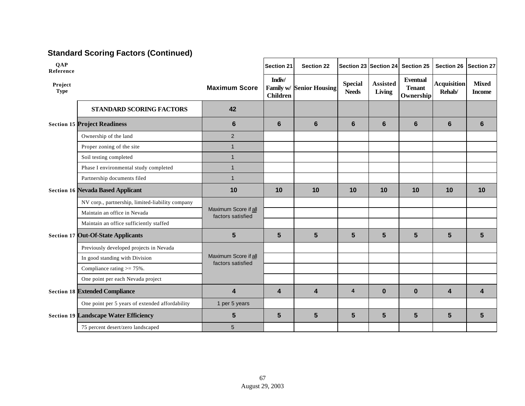# **Standard Scoring Factors (Continued)**

| <b>QAP</b><br>Reference                  |                                                  |                                           | <b>Section 21</b>         | <b>Section 22</b>               |                                |                    | Section 23 Section 24 Section 25              | <b>Section 26</b>            | <b>Section 27</b>             |
|------------------------------------------|--------------------------------------------------|-------------------------------------------|---------------------------|---------------------------------|--------------------------------|--------------------|-----------------------------------------------|------------------------------|-------------------------------|
| Project<br><b>Type</b>                   |                                                  | <b>Maximum Score</b>                      | Indiv/<br><b>Children</b> | <b>Family w/ Senior Housing</b> | <b>Special</b><br><b>Needs</b> | Assisted<br>Living | <b>Eventual</b><br><b>Tenant</b><br>Ownership | <b>Acquisition</b><br>Rehab/ | <b>Mixed</b><br><b>Income</b> |
|                                          | <b>STANDARD SCORING FACTORS</b>                  | 42                                        |                           |                                 |                                |                    |                                               |                              |                               |
|                                          | <b>Section 15 Project Readiness</b>              | $6\phantom{1}$                            | 6                         | $6\phantom{1}$                  | $6\phantom{1}$                 | $6\phantom{1}$     | 6                                             | $6\phantom{1}$               | 6                             |
|                                          | Ownership of the land                            | $\overline{2}$                            |                           |                                 |                                |                    |                                               |                              |                               |
|                                          | Proper zoning of the site                        | $\overline{1}$                            |                           |                                 |                                |                    |                                               |                              |                               |
|                                          | Soil testing completed                           | $\mathbf{1}$                              |                           |                                 |                                |                    |                                               |                              |                               |
|                                          | Phase I environmental study completed            | $\overline{1}$                            |                           |                                 |                                |                    |                                               |                              |                               |
|                                          | Partnership documents filed                      | $\mathbf{1}$                              |                           |                                 |                                |                    |                                               |                              |                               |
| <b>Section 16 Nevada Based Applicant</b> |                                                  | 10                                        | 10                        | 10                              | 10                             | 10                 | 10                                            | 10                           | 10                            |
|                                          | NV corp., partnership, limited-liability company |                                           |                           |                                 |                                |                    |                                               |                              |                               |
|                                          | Maintain an office in Nevada                     | Maximum Score if all<br>factors satisfied |                           |                                 |                                |                    |                                               |                              |                               |
|                                          | Maintain an office sufficiently staffed          |                                           |                           |                                 |                                |                    |                                               |                              |                               |
|                                          | <b>Section 17 Out-Of-State Applicants</b>        | $5\phantom{1}$                            | 5                         | 5                               | 5                              | 5                  | $5\phantom{1}$                                | 5                            | 5                             |
|                                          | Previously developed projects in Nevada          |                                           |                           |                                 |                                |                    |                                               |                              |                               |
|                                          | In good standing with Division                   | Maximum Score if all<br>factors satisfied |                           |                                 |                                |                    |                                               |                              |                               |
|                                          | Compliance rating $\ge$ = 75%.                   |                                           |                           |                                 |                                |                    |                                               |                              |                               |
|                                          | One point per each Nevada project                |                                           |                           |                                 |                                |                    |                                               |                              |                               |
|                                          | <b>Section 18 Extended Compliance</b>            | 4                                         | 4                         | $\overline{\mathbf{4}}$         | $\overline{\mathbf{4}}$        | $\bf{0}$           | $\bf{0}$                                      | 4                            | $\overline{\mathbf{4}}$       |
|                                          | One point per 5 years of extended affordability  | 1 per 5 years                             |                           |                                 |                                |                    |                                               |                              |                               |
|                                          | <b>Section 19 Landscape Water Efficiency</b>     | 5                                         | 5                         | $5\phantom{1}$                  | $5\overline{)}$                | $5\phantom{.}$     | $5\phantom{1}$                                | $5\phantom{1}$               | 5                             |
|                                          | 75 percent desert/zero landscaped                | 5                                         |                           |                                 |                                |                    |                                               |                              |                               |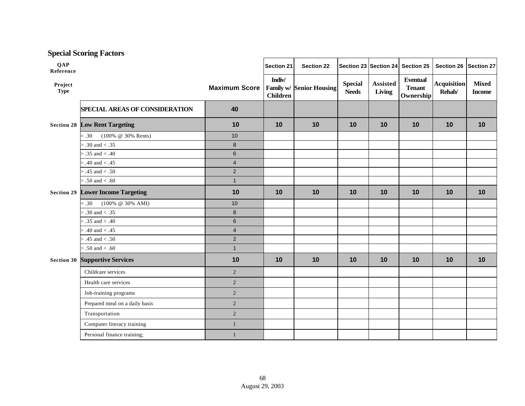|                         | <b>Special Scoring Factors</b>           |                      |                           |                          |                                |                           |                                               |                              |                               |
|-------------------------|------------------------------------------|----------------------|---------------------------|--------------------------|--------------------------------|---------------------------|-----------------------------------------------|------------------------------|-------------------------------|
| <b>QAP</b><br>Reference |                                          |                      | <b>Section 21</b>         | <b>Section 22</b>        |                                | Section 23 Section 24     | Section 25                                    | Section 26                   | Section 27                    |
| Project<br><b>Type</b>  |                                          | <b>Maximum Score</b> | Indiv/<br><b>Children</b> | Family w/ Senior Housing | <b>Special</b><br><b>Needs</b> | <b>Assisted</b><br>Living | <b>Eventual</b><br><b>Tenant</b><br>Ownership | <b>Acquisition</b><br>Rehab/ | <b>Mixed</b><br><b>Income</b> |
|                         | <b>SPECIAL AREAS OF CONSIDERATION</b>    | 40                   |                           |                          |                                |                           |                                               |                              |                               |
|                         | <b>Section 28 Low Rent Targeting</b>     | 10                   | 10                        | 10                       | 10                             | 10                        | 10                                            | 10                           | 10                            |
|                         | (100% @ 30% Rents)<br>$=.30$             | 10                   |                           |                          |                                |                           |                                               |                              |                               |
|                         | $> .30$ and $< .35$                      | $\bf 8$              |                           |                          |                                |                           |                                               |                              |                               |
|                         | $> .35$ and $< .40$                      | $\,6\,$              |                           |                          |                                |                           |                                               |                              |                               |
|                         | $> .40$ and $< .45$                      | $\overline{4}$       |                           |                          |                                |                           |                                               |                              |                               |
|                         | $> .45$ and $< .50$                      | $\mathbf 2$          |                           |                          |                                |                           |                                               |                              |                               |
|                         | $> .50$ and $< .60$                      | $\mathbf{1}$         |                           |                          |                                |                           |                                               |                              |                               |
|                         | <b>Section 29 Lower Income Targeting</b> | 10                   | 10                        | 10                       | 10                             | 10                        | 10                                            | 10                           | 10                            |
|                         | $(100\% \ @ \ 30\% \ AMI)$<br>$=.30$     | 10                   |                           |                          |                                |                           |                                               |                              |                               |
|                         | $> .30$ and $< .35$                      | $\bf 8$              |                           |                          |                                |                           |                                               |                              |                               |
|                         | $> .35$ and $< .40$                      | $\,6\,$              |                           |                          |                                |                           |                                               |                              |                               |
|                         | $> .40$ and $< .45$                      | $\overline{4}$       |                           |                          |                                |                           |                                               |                              |                               |
|                         | $> .45$ and $< .50$                      | $\overline{2}$       |                           |                          |                                |                           |                                               |                              |                               |
|                         | $> .50$ and $< .60$                      | $\mathbf{1}$         |                           |                          |                                |                           |                                               |                              |                               |
| <b>Section 30</b>       | <b>Supportive Services</b>               | 10                   | 10                        | 10                       | 10                             | 10                        | 10                                            | 10                           | 10                            |
|                         | Childcare services                       | $\overline{2}$       |                           |                          |                                |                           |                                               |                              |                               |
|                         | Health care services                     | 2                    |                           |                          |                                |                           |                                               |                              |                               |
|                         | Job-training programs                    | $\overline{2}$       |                           |                          |                                |                           |                                               |                              |                               |
|                         | Prepared meal on a daily basis           | 2                    |                           |                          |                                |                           |                                               |                              |                               |
|                         | Transportation                           | $\sqrt{2}$           |                           |                          |                                |                           |                                               |                              |                               |
|                         | Computer literacy training               | $\mathbf{1}$         |                           |                          |                                |                           |                                               |                              |                               |
|                         | Personal finance training;               | $\mathbf{1}$         |                           |                          |                                |                           |                                               |                              |                               |